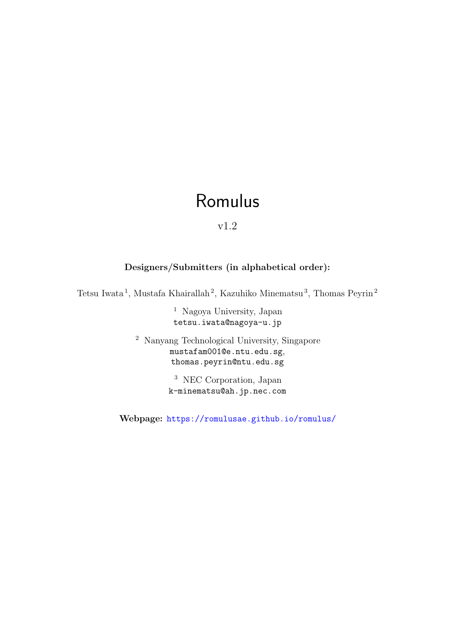# Romulus

v1.2

## Designers/Submitters (in alphabetical order):

Tetsu Iwata<sup>1</sup>, Mustafa Khairallah<sup>2</sup>, Kazuhiko Minematsu<sup>3</sup>, Thomas Peyrin<sup>2</sup>

<sup>1</sup> Nagoya University, Japan tetsu.iwata@nagoya-u.jp

<sup>2</sup> Nanyang Technological University, Singapore mustafam001@e.ntu.edu.sg, thomas.peyrin@ntu.edu.sg

> <sup>3</sup> NEC Corporation, Japan k-minematsu@ah.jp.nec.com

Webpage: <https://romulusae.github.io/romulus/>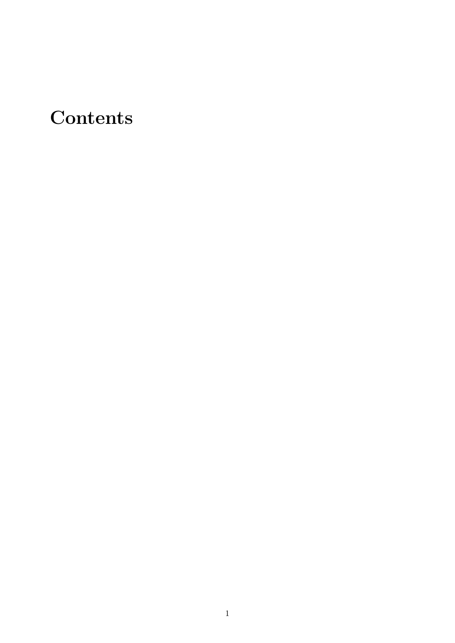# **Contents**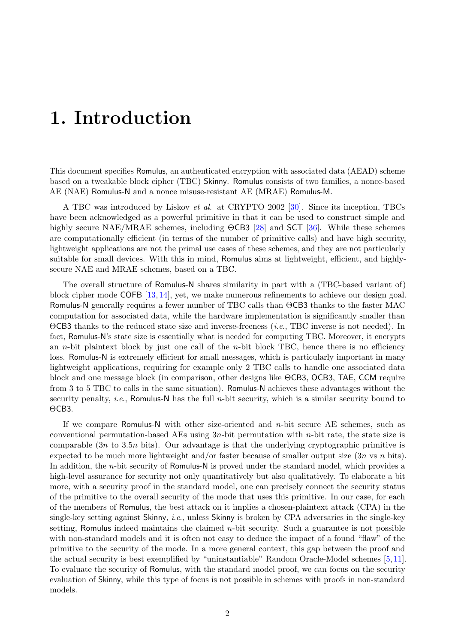# 1. Introduction

This document specifies Romulus, an authenticated encryption with associated data (AEAD) scheme based on a tweakable block cipher (TBC) Skinny. Romulus consists of two families, a nonce-based AE (NAE) Romulus-N and a nonce misuse-resistant AE (MRAE) Romulus-M.

A TBC was introduced by Liskov et al. at CRYPTO 2002 [\[30\]](#page-39-0). Since its inception, TBCs have been acknowledged as a powerful primitive in that it can be used to construct simple and highly secure NAE/MRAE schemes, including ΘCB3 [\[28\]](#page-38-0) and SCT [\[36\]](#page-39-1). While these schemes are computationally efficient (in terms of the number of primitive calls) and have high security, lightweight applications are not the primal use cases of these schemes, and they are not particularly suitable for small devices. With this in mind, Romulus aims at lightweight, efficient, and highlysecure NAE and MRAE schemes, based on a TBC.

The overall structure of Romulus-N shares similarity in part with a (TBC-based variant of) block cipher mode COFB [\[13,](#page-38-1) [14\]](#page-38-2), yet, we make numerous refinements to achieve our design goal. Romulus-N generally requires a fewer number of TBC calls than ΘCB3 thanks to the faster MAC computation for associated data, while the hardware implementation is significantly smaller than ΘCB3 thanks to the reduced state size and inverse-freeness (i.e., TBC inverse is not needed). In fact, Romulus-N's state size is essentially what is needed for computing TBC. Moreover, it encrypts an *n*-bit plaintext block by just one call of the *n*-bit block TBC, hence there is no efficiency loss. Romulus-N is extremely efficient for small messages, which is particularly important in many lightweight applications, requiring for example only 2 TBC calls to handle one associated data block and one message block (in comparison, other designs like ΘCB3, OCB3, TAE, CCM require from 3 to 5 TBC to calls in the same situation). Romulus-N achieves these advantages without the security penalty, *i.e.*, Romulus-N has the full *n*-bit security, which is a similar security bound to ΘCB3.

If we compare Romulus-N with other size-oriented and n-bit secure AE schemes, such as conventional permutation-based AEs using  $3n$ -bit permutation with *n*-bit rate, the state size is comparable  $(3n \text{ to } 3.5n \text{ bits})$ . Our advantage is that the underlying cryptographic primitive is expected to be much more lightweight and/or faster because of smaller output size  $(3n \text{ vs } n \text{ bits}).$ In addition, the n-bit security of Romulus-N is proved under the standard model, which provides a high-level assurance for security not only quantitatively but also qualitatively. To elaborate a bit more, with a security proof in the standard model, one can precisely connect the security status of the primitive to the overall security of the mode that uses this primitive. In our case, for each of the members of Romulus, the best attack on it implies a chosen-plaintext attack (CPA) in the single-key setting against Skinny, i.e., unless Skinny is broken by CPA adversaries in the single-key setting, Romulus indeed maintains the claimed  $n$ -bit security. Such a guarantee is not possible with non-standard models and it is often not easy to deduce the impact of a found "flaw" of the primitive to the security of the mode. In a more general context, this gap between the proof and the actual security is best exemplified by "uninstantiable" Random Oracle-Model schemes [\[5,](#page-37-0) [11\]](#page-37-1). To evaluate the security of Romulus, with the standard model proof, we can focus on the security evaluation of Skinny, while this type of focus is not possible in schemes with proofs in non-standard models.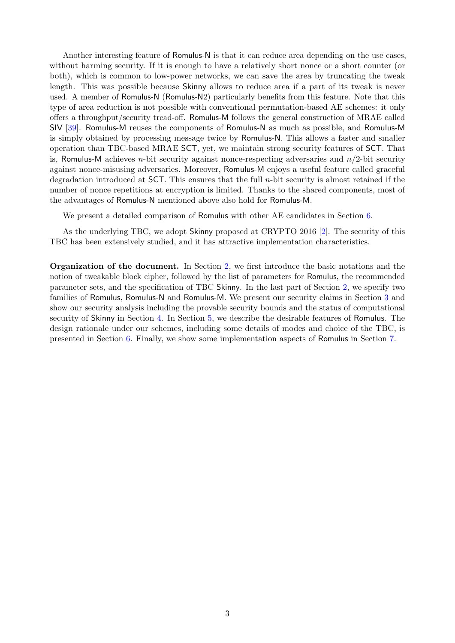Another interesting feature of Romulus-N is that it can reduce area depending on the use cases, without harming security. If it is enough to have a relatively short nonce or a short counter (or both), which is common to low-power networks, we can save the area by truncating the tweak length. This was possible because Skinny allows to reduce area if a part of its tweak is never used. A member of Romulus-N (Romulus-N2) particularly benefits from this feature. Note that this type of area reduction is not possible with conventional permutation-based AE schemes: it only offers a throughput/security tread-off. Romulus-M follows the general construction of MRAE called SIV [\[39\]](#page-39-2). Romulus-M reuses the components of Romulus-N as much as possible, and Romulus-M is simply obtained by processing message twice by Romulus-N. This allows a faster and smaller operation than TBC-based MRAE SCT, yet, we maintain strong security features of SCT. That is, Romulus-M achieves *n*-bit security against nonce-respecting adversaries and  $n/2$ -bit security against nonce-misusing adversaries. Moreover, Romulus-M enjoys a useful feature called graceful degradation introduced at  $SCT$ . This ensures that the full *n*-bit security is almost retained if the number of nonce repetitions at encryption is limited. Thanks to the shared components, most of the advantages of Romulus-N mentioned above also hold for Romulus-M.

We present a detailed comparison of Romulus with other AE candidates in Section [6.](#page-26-0)

As the underlying TBC, we adopt Skinny proposed at CRYPTO 2016 [\[2\]](#page-37-2). The security of this TBC has been extensively studied, and it has attractive implementation characteristics.

Organization of the document. In Section [2,](#page-4-0) we first introduce the basic notations and the notion of tweakable block cipher, followed by the list of parameters for Romulus, the recommended parameter sets, and the specification of TBC Skinny. In the last part of Section [2,](#page-4-0) we specify two families of Romulus, Romulus-N and Romulus-M. We present our security claims in Section [3](#page-19-0) and show our security analysis including the provable security bounds and the status of computational security of Skinny in Section [4.](#page-21-0) In Section [5,](#page-24-0) we describe the desirable features of Romulus. The design rationale under our schemes, including some details of modes and choice of the TBC, is presented in Section [6.](#page-26-0) Finally, we show some implementation aspects of Romulus in Section [7.](#page-34-0)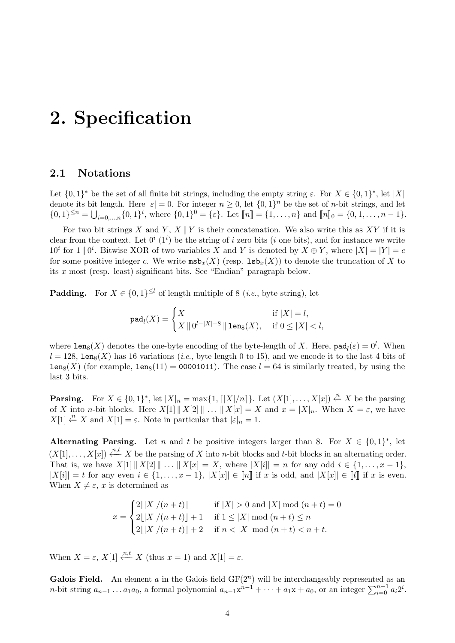# <span id="page-4-0"></span>2. Specification

### 2.1 Notations

Let  $\{0,1\}^*$  be the set of all finite bit strings, including the empty string  $\varepsilon$ . For  $X \in \{0,1\}^*$ , let  $|X|$ denote its bit length. Here  $|\varepsilon| = 0$ . For integer  $n \geq 0$ , let  $\{0, 1\}^n$  be the set of *n*-bit strings, and let  $\{0,1\}^{\leq n} = \bigcup_{i=0,\dots,n} \{0,1\}^i$ , where  $\{0,1\}^0 = \{\varepsilon\}$ . Let  $[\![n]\!] = \{1,\dots,n\}$  and  $[\![n]\!]_0 = \{0,1,\dots,n-1\}$ .

For two bit strings X and Y,  $X \parallel Y$  is their concatenation. We also write this as XY if it is clear from the context. Let  $0^i$  (1<sup>i</sup>) be the string of i zero bits (i one bits), and for instance we write  $10^i$  for  $1 \parallel 0^i$ . Bitwise XOR of two variables X and Y is denoted by  $X \oplus Y$ , where  $|X| = |Y| = c$ for some positive integer c. We write  $m\mathfrak{sb}_{x}(X)$  (resp.  $\text{lsb}_{x}(X)$ ) to denote the truncation of X to its x most (resp. least) significant bits. See "Endian" paragraph below.

**Padding.** For  $X \in \{0,1\}^{\leq l}$  of length multiple of 8 (*i.e.*, byte string), let

$$
\mathrm{pad}_{l}(X)=\begin{cases} X & \text{ if } |X|=l,\\ X\parallel 0^{l-|X|-8}\parallel \mathop{\mathtt{len}}\nolimits_8(X), & \text{ if } 0\leq |X|
$$

where  $\texttt{len}_8(X)$  denotes the one-byte encoding of the byte-length of X. Here,  $\texttt{pad}_l(\varepsilon) = 0^l$ . When  $l = 128$ , leng(X) has 16 variations (*i.e.*, byte length 0 to 15), and we encode it to the last 4 bits of  $lens(X)$  (for example,  $lens(11) = 00001011$ ). The case  $l = 64$  is similarly treated, by using the last 3 bits.

**Parsing.** For  $X \in \{0,1\}^*$ , let  $|X|_n = \max\{1, \lfloor |X|/n \rfloor\}$ . Let  $(X[1], \ldots, X[x]) \stackrel{n}{\leftarrow} X$  be the parsing of X into n-bit blocks. Here  $X[1] \parallel X[2] \parallel ... \parallel X[x] = X$  and  $x = |X|_n$ . When  $X = \varepsilon$ , we have  $X[1] \stackrel{n}{\leftarrow} X$  and  $X[1] = \varepsilon$ . Note in particular that  $|\varepsilon|_n = 1$ .

Alternating Parsing. Let *n* and *t* be positive integers larger than 8. For  $X \in \{0,1\}^*$ , let  $(X[1], \ldots, X[x]) \stackrel{n,t}{\longleftarrow} X$  be the parsing of X into n-bit blocks and t-bit blocks in an alternating order. That is, we have  $X[1] || X[2] || \ldots || X[x] = X$ , where  $|X[i]| = n$  for any odd  $i \in \{1, \ldots, x-1\}$ ,  $|X[i]| = t$  for any even  $i \in \{1, \ldots, x-1\}, |X[x]| \in [n]$  if x is odd, and  $|X[x]| \in [t]$  if x is even. When  $X \neq \varepsilon$ , x is determined as

$$
x = \begin{cases} 2\lfloor |X|/(n+t) \rfloor & \text{if } |X| > 0 \text{ and } |X| \bmod (n+t) = 0 \\ 2\lfloor |X|/(n+t) \rfloor + 1 & \text{if } 1 \leq |X| \bmod (n+t) \leq n \\ 2\lfloor |X|/(n+t) \rfloor + 2 & \text{if } n < |X| \bmod (n+t) < n+t. \end{cases}
$$

When  $X = \varepsilon$ ,  $X[1] \stackrel{n,t}{\leftarrow} X$  (thus  $x = 1$ ) and  $X[1] = \varepsilon$ .

Galois Field. An element a in the Galois field  $GF(2<sup>n</sup>)$  will be interchangeably represented as an n-bit string  $a_{n-1} \ldots a_1 a_0$ , a formal polynomial  $a_{n-1} x^{n-1} + \cdots + a_1 x + a_0$ , or an integer  $\sum_{i=0}^{n-1} a_i 2^i$ .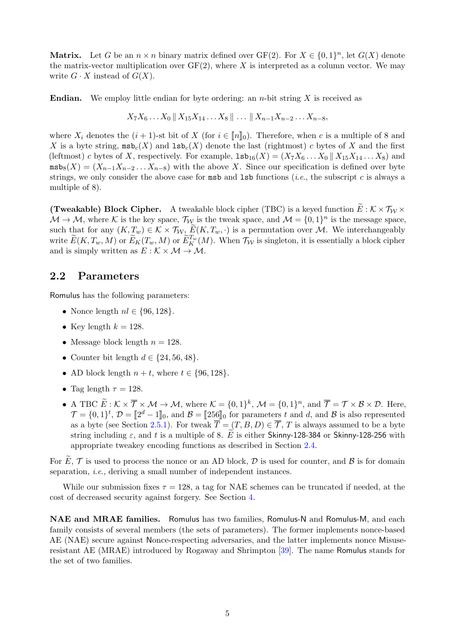**Matrix.** Let G be an  $n \times n$  binary matrix defined over GF(2). For  $X \in \{0,1\}^n$ , let  $G(X)$  denote the matrix-vector multiplication over  $GF(2)$ , where X is interpreted as a column vector. We may write  $G \cdot X$  instead of  $G(X)$ .

**Endian.** We employ little endian for byte ordering: an *n*-bit string X is received as

$$
X_7X_6...X_0 \parallel X_{15}X_{14}...X_8 \parallel ... \parallel X_{n-1}X_{n-2}...X_{n-8},
$$

where  $X_i$  denotes the  $(i + 1)$ -st bit of X (for  $i \in [n]_0$ ). Therefore, when c is a multiple of 8 and X is a byte string,  $msb_c(X)$  and  $1sb_c(X)$  denote the last (rightmost) c bytes of X and the first (leftmost) c bytes of X, respectively. For example,  $1\texttt{sb}_{16}(X) = (X_7X_6...X_0 \mid X_{15}X_{14}...X_8)$  and  $\text{msb}_8(X) = (X_{n-1}X_{n-2}\dots X_{n-8})$  with the above X. Since our specification is defined over byte strings, we only consider the above case for  $m$ sb and  $1$ sb functions (*i.e.*, the subscript c is always a multiple of 8).

**(Tweakable) Block Cipher.** A tweakable block cipher (TBC) is a keyed function  $\widetilde{E}: K \times T_W \times$  $M \to M$ , where K is the key space,  $\mathcal{T}_{W}$  is the tweak space, and  $M = \{0, 1\}^n$  is the message space, such that for any  $(K, T_w) \in \mathcal{K} \times \mathcal{T}_{\mathcal{W}}, \ \widetilde{E}(K, T_w, \cdot)$  is a permutation over M. We interchangeably write  $\widetilde{E}(K, T_w, M)$  or  $\widetilde{E}_K(T_w, M)$  or  $\widetilde{E}_K^{T_w}(M)$ . When  $\mathcal{T}_W$  is singleton, it is essentially a block cipher and is simply written as  $E : \mathcal{K} \times \mathcal{M} \rightarrow \mathcal{M}$ .

#### 2.2 Parameters

Romulus has the following parameters:

- Nonce length  $nl \in \{96, 128\}.$
- Key length  $k = 128$ .
- Message block length  $n = 128$ .
- Counter bit length  $d \in \{24, 56, 48\}.$
- AD block length  $n + t$ , where  $t \in \{96, 128\}$ .
- Tag length  $\tau = 128$ .
- A TBC  $E: \mathcal{K} \times \overline{\mathcal{T}} \times \mathcal{M} \to \mathcal{M}$ , where  $\mathcal{K} = \{0, 1\}^k$ ,  $\mathcal{M} = \{0, 1\}^n$ , and  $\overline{\mathcal{T}} = \mathcal{T} \times \mathcal{B} \times \mathcal{D}$ . Here,  $\mathcal{T} = \{0, 1\}^t$ ,  $\mathcal{D} = [\![2^d - 1]\!]_0$ , and  $\mathcal{B} = [\![256]\!]_0$  for parameters t and d, and  $\mathcal{B}$  is also represented as a byte (see Section [2.5.1\)](#page-10-0). For tweak  $\overline{T} = (T, B, D) \in \overline{T}$ , T is always assumed to be a byte string including  $\varepsilon$ , and t is a multiple of 8. E is either Skinny-128-384 or Skinny-128-256 with appropriate tweakey encoding functions as described in Section [2.4.](#page-6-0)

For  $E, \mathcal{T}$  is used to process the nonce or an AD block,  $\mathcal{D}$  is used for counter, and  $\mathcal{B}$  is for domain separation, *i.e.*, deriving a small number of independent instances.

While our submission fixes  $\tau = 128$ , a tag for NAE schemes can be truncated if needed, at the cost of decreased security against forgery. See Section [4.](#page-21-0)

NAE and MRAE families. Romulus has two families, Romulus-N and Romulus-M, and each family consists of several members (the sets of parameters). The former implements nonce-based AE (NAE) secure against Nonce-respecting adversaries, and the latter implements nonce Misuseresistant AE (MRAE) introduced by Rogaway and Shrimpton [\[39\]](#page-39-2). The name Romulus stands for the set of two families.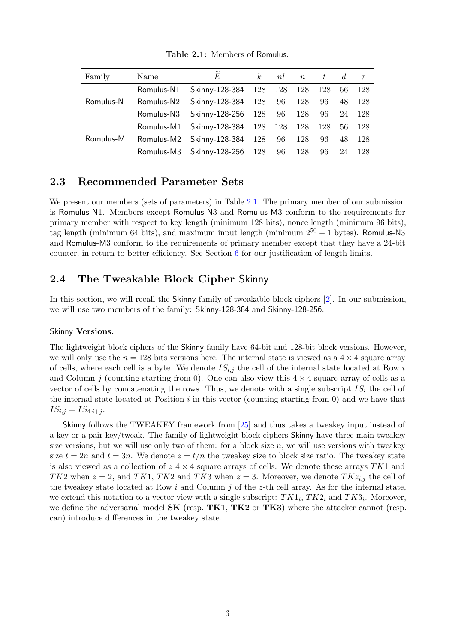<span id="page-6-1"></span>

| Family    | Name                   | $\overline{E}$             | k <sub>i</sub> | nl |     | $n \quad t \quad d$ |    | $\tau$ |
|-----------|------------------------|----------------------------|----------------|----|-----|---------------------|----|--------|
|           | Romulus-N1             | Skinny-128-384             | 128 128        |    | 128 | 128                 | 56 | 128    |
| Romulus-N | Romulus-N <sub>2</sub> | Skinny-128-384             | 128            | 96 | 128 | 96                  | 48 | 128    |
|           | Romulus-N3             | Skinny-128-256 128         |                | 96 | 128 | 96                  | 24 | 128    |
|           | Romulus-M1             | Skinny-128-384 128 128 128 |                |    |     | 128                 | 56 | -128   |
| Romulus-M | Romulus-M2             | Skinny-128-384             | 128            | 96 | 128 | 96                  | 48 | 128    |
|           | Romulus-M3             | Skinny-128-256 128         |                | 96 | 128 | 96                  | 24 | 128    |

Table 2.1: Members of Romulus.

### 2.3 Recommended Parameter Sets

We present our members (sets of parameters) in Table [2.1.](#page-6-1) The primary member of our submission is Romulus-N1. Members except Romulus-N3 and Romulus-M3 conform to the requirements for primary member with respect to key length (minimum 128 bits), nonce length (minimum 96 bits), tag length (minimum 64 bits), and maximum input length (minimum  $2^{50} - 1$  bytes). Romulus-N3 and Romulus-M3 conform to the requirements of primary member except that they have a 24-bit counter, in return to better efficiency. See Section [6](#page-26-0) for our justification of length limits.

### <span id="page-6-0"></span>2.4 The Tweakable Block Cipher Skinny

In this section, we will recall the Skinny family of tweakable block ciphers [\[2\]](#page-37-2). In our submission, we will use two members of the family: Skinny-128-384 and Skinny-128-256.

#### Skinny Versions.

The lightweight block ciphers of the Skinny family have 64-bit and 128-bit block versions. However, we will only use the  $n = 128$  bits versions here. The internal state is viewed as a  $4 \times 4$  square array of cells, where each cell is a byte. We denote  $IS_{i,j}$  the cell of the internal state located at Row i and Column j (counting starting from 0). One can also view this  $4 \times 4$  square array of cells as a vector of cells by concatenating the rows. Thus, we denote with a single subscript  $IS_i$  the cell of the internal state located at Position  $i$  in this vector (counting starting from 0) and we have that  $IS_{i,j} = IS_{4 \cdot i + j}.$ 

Skinny follows the TWEAKEY framework from [\[25\]](#page-38-3) and thus takes a tweakey input instead of a key or a pair key/tweak. The family of lightweight block ciphers Skinny have three main tweakey size versions, but we will use only two of them: for a block size  $n$ , we will use versions with tweakey size  $t = 2n$  and  $t = 3n$ . We denote  $z = t/n$  the tweakey size to block size ratio. The tweakey state is also viewed as a collection of  $z \sim 4 \times 4$  square arrays of cells. We denote these arrays TK1 and TK2 when  $z = 2$ , and TK1, TK2 and TK3 when  $z = 3$ . Moreover, we denote TK $z_{i,j}$  the cell of the tweakey state located at Row i and Column j of the z-th cell array. As for the internal state, we extend this notation to a vector view with a single subscript:  $TK1_i, TK2_i$  and  $TK3_i$ . Moreover, we define the adversarial model  $SK$  (resp.  $TK1$ ,  $TK2$  or  $TK3$ ) where the attacker cannot (resp. can) introduce differences in the tweakey state.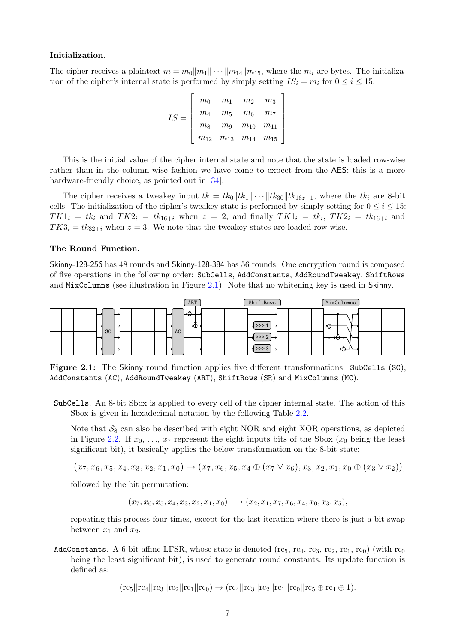#### Initialization.

The cipher receives a plaintext  $m = m_0||m_1|| \cdots ||m_{14}||m_{15}$ , where the  $m_i$  are bytes. The initialization of the cipher's internal state is performed by simply setting  $IS_i = m_i$  for  $0 \le i \le 15$ :

$$
IS = \left[ \begin{array}{cccc} m_0 & m_1 & m_2 & m_3 \\ m_4 & m_5 & m_6 & m_7 \\ m_8 & m_9 & m_{10} & m_{11} \\ m_{12} & m_{13} & m_{14} & m_{15} \end{array} \right]
$$

This is the initial value of the cipher internal state and note that the state is loaded row-wise rather than in the column-wise fashion we have come to expect from the AES; this is a more hardware-friendly choice, as pointed out in [\[34\]](#page-39-3).

The cipher receives a tweakey input  $tk = tk_0||tk_1|| \cdots ||tk_{30}||tk_{16z-1}$ , where the  $tk_i$  are 8-bit cells. The initialization of the cipher's tweakey state is performed by simply setting for  $0 \le i \le 15$ :  $TK1_i = tk_i$  and  $TK2_i = tk_{16+i}$  when  $z = 2$ , and finally  $TK1_i = tk_i$ ,  $TK2_i = tk_{16+i}$  and  $TK3_i = tk_{32+i}$  when  $z = 3$ . We note that the tweakey states are loaded row-wise.

#### The Round Function.

Skinny-128-256 has 48 rounds and Skinny-128-384 has 56 rounds. One encryption round is composed of five operations in the following order: SubCells, AddConstants, AddRoundTweakey, ShiftRows and MixColumns (see illustration in Figure [2.1\)](#page-7-0). Note that no whitening key is used in Skinny.

<span id="page-7-0"></span>

Figure 2.1: The Skinny round function applies five different transformations: SubCells (SC), AddConstants (AC), AddRoundTweakey (ART), ShiftRows (SR) and MixColumns (MC).

SubCells. An 8-bit Sbox is applied to every cell of the cipher internal state. The action of this Sbox is given in hexadecimal notation by the following Table [2.2.](#page-8-0)

Note that  $S_8$  can also be described with eight NOR and eight XOR operations, as depicted in Figure [2.2.](#page-8-1) If  $x_0, \ldots, x_7$  represent the eight inputs bits of the Sbox  $(x_0$  being the least significant bit), it basically applies the below transformation on the 8-bit state:

$$
(x_7, x_6, x_5, x_4, x_3, x_2, x_1, x_0) \rightarrow (x_7, x_6, x_5, x_4 \oplus (\overline{x_7 \vee x_6}), x_3, x_2, x_1, x_0 \oplus (\overline{x_3 \vee x_2})),
$$

followed by the bit permutation:

 $(x_7, x_6, x_5, x_4, x_3, x_2, x_1, x_0) \rightarrow (x_2, x_1, x_7, x_6, x_4, x_0, x_3, x_5),$ 

repeating this process four times, except for the last iteration where there is just a bit swap between  $x_1$  and  $x_2$ .

AddConstants. A 6-bit affine LFSR, whose state is denoted (rc $_5$ , rc<sub>4</sub>, rc<sub>3</sub>, rc<sub>2</sub>, rc<sub>1</sub>, rc<sub>0</sub>) (with rc<sub>0</sub>) being the least significant bit), is used to generate round constants. Its update function is defined as:

 $(rc_5||rc_4||rc_3||rc_2||rc_1||rc_0) \rightarrow (rc_4||rc_3||rc_2||rc_1||rc_0||rc_5 \oplus rc_4 \oplus 1).$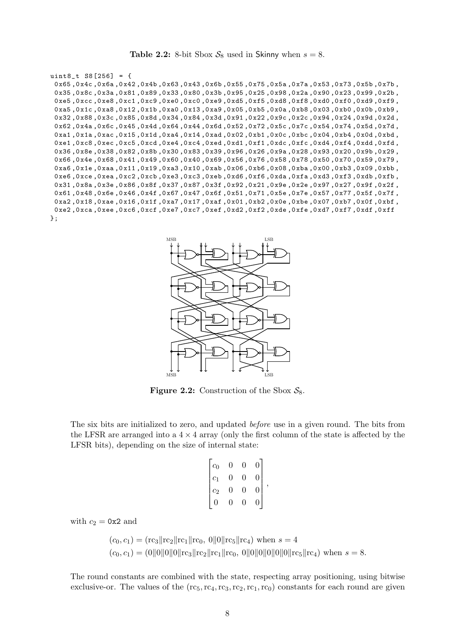**Table 2.2:** 8-bit Sbox  $S_8$  used in Skinny when  $s = 8$ .

```
uint8_t S8 [256] = {
 0 x65 ,0 x4c ,0 x6a ,0 x42 ,0 x4b ,0 x63 ,0 x43 ,0 x6b ,0 x55 ,0 x75 ,0 x5a ,0 x7a ,0 x53 ,0 x73 ,0 x5b ,0 x7b ,
 0x35,0x8c,0x3a,0x81,0x89,0x33,0x80,0x3b,0x95,0x25,0x98,0x2a,0x90,0x23,0x99,0x2b,
 0 xe5 ,0 xcc ,0 xe8 ,0 xc1 ,0 xc9 ,0 xe0 ,0 xc0 ,0 xe9 ,0 xd5 ,0 xf5 ,0 xd8 ,0 xf8 ,0 xd0 ,0 xf0 ,0 xd9 ,0 xf9 ,
 0xa5,0x1c,0xa8,0x12,0x1b,0xa0,0x13,0xa9,0x05,0xb5,0xb5,0xb8,0x03,0xb0,0xb9,0xb9,
 0 x32 ,0 x88 ,0 x3c ,0 x85 ,0 x8d ,0 x34 ,0 x84 ,0 x3d ,0 x91 ,0 x22 ,0 x9c ,0 x2c ,0 x94 ,0 x24 ,0 x9d ,0 x2d ,
 0 x62 ,0 x4a ,0 x6c ,0 x45 ,0 x4d ,0 x64 ,0 x44 ,0 x6d ,0 x52 ,0 x72 ,0 x5c ,0 x7c ,0 x54 ,0 x74 ,0 x5d ,0 x7d ,
 0xa1,0x1a,0xac,0x15,0x1d,0xa4,0x14,0xad,0x02,0xb1,0x0c,0xbc,0x04,0xb4,0x0d,0xbd,
 0 xe1 ,0 xc8 ,0 xec ,0 xc5 ,0 xcd ,0 xe4 ,0 xc4 ,0 xed ,0 xd1 ,0 xf1 ,0 xdc ,0 xfc ,0 xd4 ,0 xf4 ,0 xdd ,0 xfd ,
 0 x36 ,0 x8e ,0 x38 ,0 x82 ,0 x8b ,0 x30 ,0 x83 ,0 x39 ,0 x96 ,0 x26 ,0 x9a ,0 x28 ,0 x93 ,0 x20 ,0 x9b ,0 x29 ,
 0 x66 ,0 x4e ,0 x68 ,0 x41 ,0 x49 ,0 x60 ,0 x40 ,0 x69 ,0 x56 ,0 x76 ,0 x58 ,0 x78 ,0 x50 ,0 x70 ,0 x59 ,0 x79 ,
 0 xa6,0 x1e,0 xaa,0 x11,0 x19,0 xa3,0 x10,0 xab,0 x06,0 xb6,0 xb3,0 xb3,0 x09,0 xb3,0 x09,0 xb5
 0 xe6 ,0 xce ,0 xea ,0 xc2 ,0 xcb ,0 xe3 ,0 xc3 ,0 xeb ,0 xd6 ,0 xf6 ,0 xda ,0 xfa ,0 xd3 ,0 xf3 ,0 xdb ,0 xfb ,
 0 x31 ,0 x8a ,0 x3e ,0 x86 ,0 x8f ,0 x37 ,0 x87 ,0 x3f ,0 x92 ,0 x21 ,0 x9e ,0 x2e ,0 x97 ,0 x27 ,0 x9f ,0 x2f ,
 0 x61 ,0 x48 ,0 x6e ,0 x46 ,0 x4f ,0 x67 ,0 x47 ,0 x6f ,0 x51 ,0 x71 ,0 x5e ,0 x7e ,0 x57 ,0 x77 ,0 x5f ,0 x7f ,
 0 xa2 ,0 x18 ,0 xae ,0 x16 ,0 x1f ,0 xa7 ,0 x17 ,0 xaf ,0 x01 ,0 xb2 ,0 x0e ,0 xbe ,0 x07 ,0 xb7 ,0 x0f ,0 xbf ,
 0 xe2 ,0 xca ,0 xee ,0 xc6 ,0 xcf ,0 xe7 ,0 xc7 ,0 xef ,0 xd2 ,0 xf2 ,0 xde ,0 xfe ,0 xd7 ,0 xf7 ,0 xdf ,0 xff
};
```
<span id="page-8-1"></span>

**Figure 2.2:** Construction of the Sbox  $S_8$ .

The six bits are initialized to zero, and updated before use in a given round. The bits from the LFSR are arranged into a  $4 \times 4$  array (only the first column of the state is affected by the LFSR bits), depending on the size of internal state:

$$
\begin{bmatrix}c_0 & 0 & 0 & 0\\c_1 & 0 & 0 & 0\\c_2 & 0 & 0 & 0\\0 & 0 & 0 & 0\end{bmatrix},
$$

with  $c_2 = 0x2$  and

$$
(c_0, c_1) = (\text{rc}_3 || \text{rc}_2 || \text{rc}_1 || \text{rc}_0, 0 || 0 || \text{rc}_5 || \text{rc}_4) \text{ when } s = 4
$$
  

$$
(c_0, c_1) = (0 || 0 || 0 || 0 || 0 || \text{rc}_3 || \text{rc}_2 || \text{rc}_1 || \text{rc}_0, 0 || 0 || 0 || 0 || 0 || 0 || \text{rc}_5 || \text{rc}_4) \text{ when } s = 8.
$$

The round constants are combined with the state, respecting array positioning, using bitwise exclusive-or. The values of the  $(rc_5, rc_4, rc_3, rc_2, rc_1, rc_0)$  constants for each round are given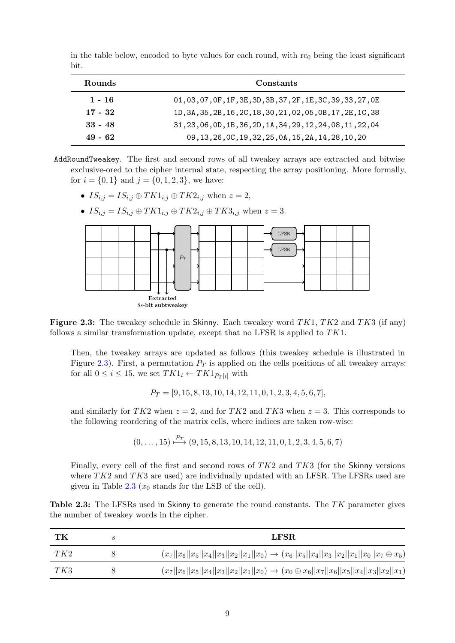| <b>Rounds</b> | Constants                                                        |
|---------------|------------------------------------------------------------------|
| $1 - 16$      | 01, 03, 07, 0F, 1F, 3E, 3D, 3B, 37, 2F, 1E, 3C, 39, 33, 27, 0E   |
| $17 - 32$     | 1D, 3A, 35, 2B, 16, 2C, 18, 30, 21, 02, 05, 0B, 17, 2E, 1C, 38   |
| $33 - 48$     | $31, 23, 06, 0D, 1B, 36, 2D, 1A, 34, 29, 12, 24, 08, 11, 22, 04$ |
| $49 - 62$     | 09, 13, 26, 0C, 19, 32, 25, 0A, 15, 2A, 14, 28, 10, 20           |

in the table below, encoded to byte values for each round, with  $rc_0$  being the least significant bit.

- AddRoundTweakey. The first and second rows of all tweakey arrays are extracted and bitwise exclusive-ored to the cipher internal state, respecting the array positioning. More formally, for  $i = \{0, 1\}$  and  $j = \{0, 1, 2, 3\}$ , we have:
	- $IS_{i,j} = IS_{i,j} \oplus TK1_{i,j} \oplus TK2_{i,j}$  when  $z = 2$ ,
	- $IS_{i,j} = IS_{i,j} \oplus TK1_{i,j} \oplus TK2_{i,j} \oplus TK3_{i,j}$  when  $z = 3$ .

<span id="page-9-0"></span>

Figure 2.3: The tweakey schedule in Skinny. Each tweakey word  $TK1, TK2$  and  $TK3$  (if any) follows a similar transformation update, except that no LFSR is applied to TK1.

Then, the tweakey arrays are updated as follows (this tweakey schedule is illustrated in Figure [2.3\)](#page-9-0). First, a permutation  $P_T$  is applied on the cells positions of all tweakey arrays: for all  $0 \leq i \leq 15$ , we set  $TK1_i \leftarrow TK1_{P_T[i]}$  with

$$
P_T=[9,15,8,13,10,14,12,11,0,1,2,3,4,5,6,7],\\
$$

and similarly for TK2 when  $z = 2$ , and for TK2 and TK3 when  $z = 3$ . This corresponds to the following reordering of the matrix cells, where indices are taken row-wise:

$$
(0,\ldots,15) \xrightarrow{Pr} (9,15,8,13,10,14,12,11,0,1,2,3,4,5,6,7)
$$

Finally, every cell of the first and second rows of TK2 and TK3 (for the Skinny versions where  $TK2$  and  $TK3$  are used) are individually updated with an LFSR. The LFSRs used are given in Table [2.3](#page-9-1)  $(x_0 \text{ stands for the LSB of the cell}).$ 

<span id="page-9-1"></span>Table 2.3: The LFSRs used in Skinny to generate the round constants. The  $TK$  parameter gives the number of tweakey words in the cipher.

| TК  | LFSR.                                                                                                      |
|-----|------------------------------------------------------------------------------------------------------------|
| TK2 | $(x_7  x_6  x_5  x_4  x_3  x_2  x_1  x_0) \rightarrow (x_6  x_5  x_4  x_3  x_2  x_1  x_0  x_7 \oplus x_5)$ |
| TK3 | $(x_7  x_6  x_5  x_4  x_3  x_2  x_1  x_0) \rightarrow (x_0 \oplus x_6  x_7  x_6  x_5  x_4  x_3  x_2  x_1)$ |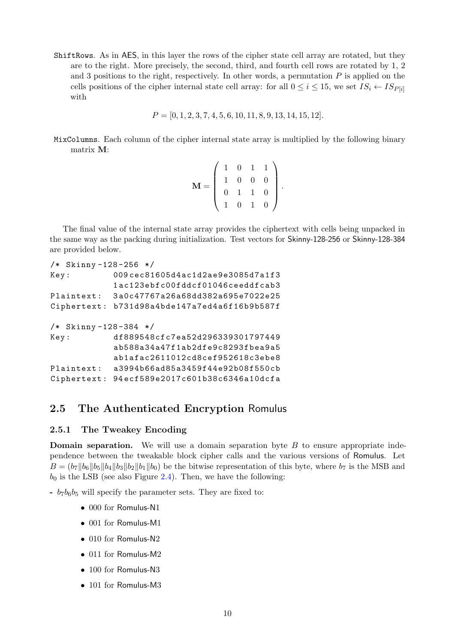ShiftRows. As in AES, in this layer the rows of the cipher state cell array are rotated, but they are to the right. More precisely, the second, third, and fourth cell rows are rotated by 1, 2 and 3 positions to the right, respectively. In other words, a permutation  $P$  is applied on the cells positions of the cipher internal state cell array: for all  $0 \le i \le 15$ , we set  $IS_i \leftarrow IS_{P[i]}$ with

```
P = [0, 1, 2, 3, 7, 4, 5, 6, 10, 11, 8, 9, 13, 14, 15, 12].
```
MixColumns. Each column of the cipher internal state array is multiplied by the following binary matrix M:

|  |    |                | $0\quad 1$     | $\mathbf{1}$   |
|--|----|----------------|----------------|----------------|
|  |    | $\overline{0}$ | $\overline{0}$ | $\overline{O}$ |
|  | 0. |                | $1\quad1$      | $\overline{0}$ |
|  |    | $\overline{0}$ |                |                |

The final value of the internal state array provides the ciphertext with cells being unpacked in the same way as the packing during initialization. Test vectors for Skinny-128-256 or Skinny-128-384 are provided below.

```
/* Skinny -128 -256 */
Key : 009 cec81605d4ac1d2ae9e3085d7a1f3
            1 ac123ebfc00fddcf01046ceeddfcab3
Plaintext : 3 a0c47767a26a68dd382a695e7022e25
Ciphertext : b731d98a4bde147a7ed4a6f16b9b587f
/* Skinny -128 -384 */
Key: df889548cfc7ea52d296339301797449
            ab588a34a47f1ab2dfe9c8293fbea9a5
            ab1afac2611012cd8cef952618c3ebe8
Plaintext : a3994b66ad85a3459f44e92b08f550cb
Ciphertext : 94 ecf589e2017c601b38c6346a10dcfa
```
## 2.5 The Authenticated Encryption Romulus

#### <span id="page-10-0"></span>2.5.1 The Tweakey Encoding

**Domain separation.** We will use a domain separation byte  $B$  to ensure appropriate independence between the tweakable block cipher calls and the various versions of Romulus. Let  $B = (b_7||b_6||b_5||b_4||b_3||b_2||b_1||b_0)$  be the bitwise representation of this byte, where  $b_7$  is the MSB and  $b_0$  is the LSB (see also Figure [2.4\)](#page-11-0). Then, we have the following:

 $- b_7b_6b_5$  will specify the parameter sets. They are fixed to:

- 000 for Romulus-N1
- 001 for Romulus-M1
- 010 for Romulus-N2
- 011 for Romulus-M2
- 100 for Romulus-N3
- 101 for Romulus-M3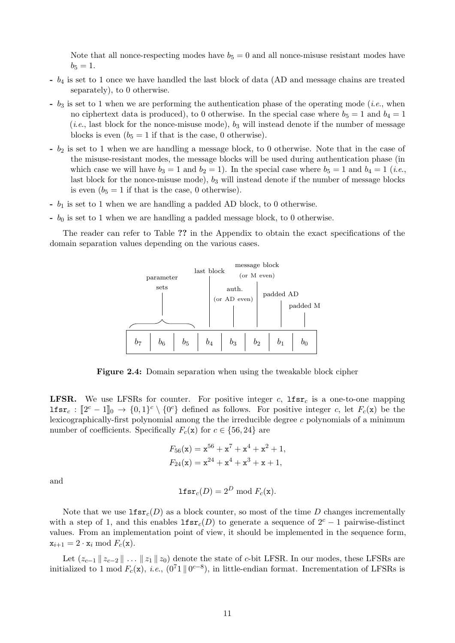Note that all nonce-respecting modes have  $b_5 = 0$  and all nonce-misuse resistant modes have  $b_5 = 1.$ 

- b<sup>4</sup> is set to 1 once we have handled the last block of data (AD and message chains are treated separately), to 0 otherwise.
- $b_3$  is set to 1 when we are performing the authentication phase of the operating mode (*i.e.*, when no ciphertext data is produced), to 0 otherwise. In the special case where  $b_5 = 1$  and  $b_4 = 1$  $(i.e.,$  last block for the nonce-misuse mode),  $b_3$  will instead denote if the number of message blocks is even  $(b_5 = 1$  if that is the case, 0 otherwise).
- b<sup>2</sup> is set to 1 when we are handling a message block, to 0 otherwise. Note that in the case of the misuse-resistant modes, the message blocks will be used during authentication phase (in which case we will have  $b_3 = 1$  and  $b_2 = 1$ ). In the special case where  $b_5 = 1$  and  $b_4 = 1$  (*i.e.*, last block for the nonce-misuse mode),  $b_3$  will instead denote if the number of message blocks is even  $(b_5 = 1$  if that is the case, 0 otherwise).
- $b_1$  is set to 1 when we are handling a padded AD block, to 0 otherwise.
- $b_0$  is set to 1 when we are handling a padded message block, to 0 otherwise.

<span id="page-11-0"></span>The reader can refer to Table ?? in the Appendix to obtain the exact specifications of the domain separation values depending on the various cases.



Figure 2.4: Domain separation when using the tweakable block cipher

**LFSR.** We use LFSRs for counter. For positive integer c,  $1$ fsr<sub>c</sub> is a one-to-one mapping **lfsr**<sub>c</sub>:  $[2^c - 1]_0 \rightarrow \{0, 1\}^c \setminus \{0^c\}$  defined as follows. For positive integer c, let  $F_c(\mathbf{x})$  be the lexicographically-first polynomial among the the irreducible degree c polynomials of a minimum number of coefficients. Specifically  $F_c(\mathbf{x})$  for  $c \in \{56, 24\}$  are

$$
F_{56}(\mathbf{x}) = \mathbf{x}^{56} + \mathbf{x}^7 + \mathbf{x}^4 + \mathbf{x}^2 + 1,
$$
  

$$
F_{24}(\mathbf{x}) = \mathbf{x}^{24} + \mathbf{x}^4 + \mathbf{x}^3 + \mathbf{x} + 1,
$$

and

$$
\mathbf{lfsr}_c(D) = 2^D \bmod F_c(\mathbf{x}).
$$

Note that we use  $\text{If}\operatorname{sr}_c(D)$  as a block counter, so most of the time D changes incrementally with a step of 1, and this enables  $\text{lfsr}_c(D)$  to generate a sequence of  $2^c - 1$  pairwise-distinct values. From an implementation point of view, it should be implemented in the sequence form,  $x_{i+1} = 2 \cdot x_i \mod F_c(x)$ .

Let  $(z_{c-1} || z_{c-2} || \dots || z_1 || z_0)$  denote the state of c-bit LFSR. In our modes, these LFSRs are initialized to 1 mod  $F_c(\mathbf{x})$ , *i.e.*,  $(0^71 \parallel 0^{c-8})$ , in little-endian format. Incrementation of LFSRs is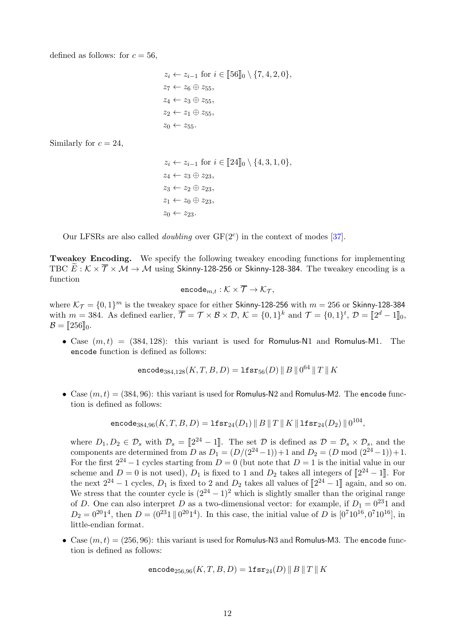defined as follows: for  $c = 56$ ,

$$
z_i \leftarrow z_{i-1} \text{ for } i \in [\![56]\!]_0 \setminus \{7, 4, 2, 0\},
$$
  
\n
$$
z_7 \leftarrow z_6 \oplus z_{55},
$$
  
\n
$$
z_4 \leftarrow z_3 \oplus z_{55},
$$
  
\n
$$
z_2 \leftarrow z_1 \oplus z_{55},
$$
  
\n
$$
z_0 \leftarrow z_{55}.
$$

Similarly for  $c = 24$ ,

 $z_i \leftarrow z_{i-1}$  for  $i \in [\![24]\!]_0 \setminus \{4, 3, 1, 0\},\$  $z_4 \leftarrow z_3 \oplus z_{23},$  $z_3 \leftarrow z_2 \oplus z_{23},$  $z_1 \leftarrow z_0 \oplus z_{23}$  $z_0 \leftarrow z_{23}.$ 

Our LFSRs are also called *doubling* over  $GF(2<sup>c</sup>)$  in the context of modes [\[37\]](#page-39-4).

Tweakey Encoding. We specify the following tweakey encoding functions for implementing TBC  $E: K \times \overline{T} \times \mathcal{M} \rightarrow \mathcal{M}$  using Skinny-128-256 or Skinny-128-384. The tweakey encoding is a function

$$
\mathtt{encode}_{m,t} : \mathcal{K} \times \overline{\mathcal{T}} \to \mathcal{K}_{\mathcal{T}},
$$

where  $\mathcal{K}_{\mathcal{T}} = \{0, 1\}^m$  is the tweakey space for either Skinny-128-256 with  $m = 256$  or Skinny-128-384 with  $m = 384$ . As defined earlier,  $\overline{\mathcal{T}} = \mathcal{T} \times \mathcal{B} \times \mathcal{D}$ ,  $\mathcal{K} = \{0, 1\}^k$  and  $\mathcal{T} = \{0, 1\}^t$ ,  $\mathcal{D} = [\![2^d - 1]\!]_0$ ,  $\mathcal{B} = [256]_0.$ 

• Case  $(m, t) = (384, 128)$ : this variant is used for Romulus-N1 and Romulus-M1. The encode function is defined as follows:

encode<sub>384,128</sub> $(K, T, B, D) = \texttt{lfsr}_{56}(D) \, \| \, B \, \| \, 0^{64} \, \| \, T \, \| \, K$ 

• Case  $(m, t) = (384, 96)$ : this variant is used for Romulus-N2 and Romulus-M2. The encode function is defined as follows:

$$
\mathsf{encode}_{384,96}(K,T,B,D) = \mathtt{lfsr}_{24}(D_1) \mathbin\Vert B \mathbin\Vert T \mathbin\Vert K \mathbin\Vert \mathtt{lfsr}_{24}(D_2) \mathbin\Vert 0^{104},
$$

where  $D_1, D_2 \in \mathcal{D}_s$  with  $\mathcal{D}_s = [2^{24} - 1]$ . The set  $\mathcal{D}$  is defined as  $\mathcal{D} = \mathcal{D}_s \times \mathcal{D}_s$ , and the components are determined from D as  $D_1 = (D/(2^{24}-1))+1$  and  $D_2 = (D \mod (2^{24}-1))+1$ . For the first  $2^{24} - 1$  cycles starting from  $D = 0$  (but note that  $D = 1$  is the initial value in our scheme and  $D = 0$  is not used),  $D_1$  is fixed to 1 and  $D_2$  takes all integers of  $[2^{24} - 1]$ . For the next  $2^{24} - 1$  cycles,  $D_1$  is fixed to 2 and  $D_2$  takes all values of  $[2^{24} - 1]$  again, and so on. We stress that the counter cycle is  $(2^{24} - 1)^2$  which is slightly smaller than the original range of D. One can also interpret D as a two-dimensional vector: for example, if  $D_1 = 0^{23}1$  and  $D_2 = 0^{20}1^4$ , then  $D = (0^{23}1 \,||\, 0^{20}1^4)$ . In this case, the initial value of D is  $[0^7 10^{16}, 0^7 10^{16}]$ , in little-endian format.

• Case  $(m, t) = (256, 96)$ : this variant is used for Romulus-N3 and Romulus-M3. The encode function is defined as follows:

$$
\texttt{encode}_{256,96}(K,T,B,D) = \texttt{lfsr}_{24}(D) \parallel B \parallel T \parallel K
$$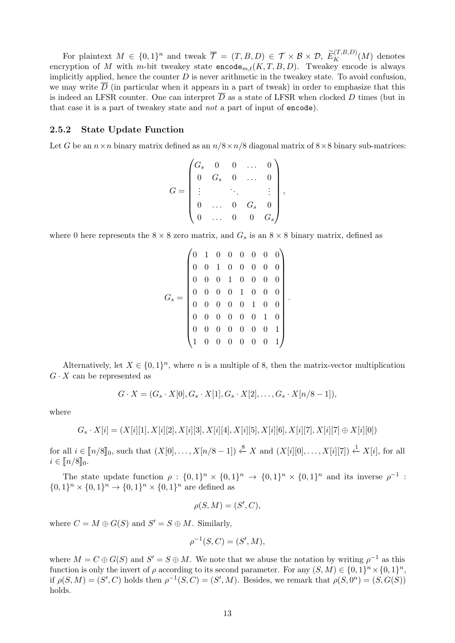For plaintext  $M \in \{0,1\}^n$  and tweak  $\overline{\mathcal{T}} = (T, B, D) \in \mathcal{T} \times \mathcal{B} \times \mathcal{D}$ ,  $\widetilde{E}_K^{(T,B,D)}(M)$  denotes encryption of M with m-bit tweakey state  $\mathsf{encode}_{m,t}(K, T, B, D)$ . Tweakey encode is always implicitly applied, hence the counter  $D$  is never arithmetic in the tweakey state. To avoid confusion, we may write  $\overline{D}$  (in particular when it appears in a part of tweak) in order to emphasize that this is indeed an LFSR counter. One can interpret  $\overline{D}$  as a state of LFSR when clocked D times (but in that case it is a part of tweakey state and not a part of input of encode).

#### 2.5.2 State Update Function

Let G be an  $n \times n$  binary matrix defined as an  $n/8 \times n/8$  diagonal matrix of  $8 \times 8$  binary sub-matrices:

$$
G = \begin{pmatrix} G_s & 0 & 0 & \dots & 0 \\ 0 & G_s & 0 & \dots & 0 \\ \vdots & & \ddots & & \vdots \\ 0 & \dots & 0 & G_s & 0 \\ 0 & \dots & 0 & 0 & G_s \end{pmatrix},
$$

where 0 here represents the  $8 \times 8$  zero matrix, and  $G_s$  is an  $8 \times 8$  binary matrix, defined as

G<sup>s</sup> = 0 1 0 0 0 0 0 0 0 0 1 0 0 0 0 0 0 0 0 1 0 0 0 0 0 0 0 0 1 0 0 0 0 0 0 0 0 1 0 0 0 0 0 0 0 0 1 0 0 0 0 0 0 0 0 1 1 0 0 0 0 0 0 1 .

Alternatively, let  $X \in \{0,1\}^n$ , where n is a multiple of 8, then the matrix-vector multiplication  $G \cdot X$  can be represented as

$$
G \cdot X = (G_s \cdot X[0], G_s \cdot X[1], G_s \cdot X[2], \dots, G_s \cdot X[n/8-1]),
$$

where

 $G_s \cdot X[i] = (X[i][1], X[i][2], X[i][3], X[i][4], X[i][5], X[i][6], X[i][7], X[i][7] \oplus X[i][0])$ 

for all  $i \in [n/8]_0$ , such that  $(X[0], \ldots, X[n/8-1]) \stackrel{8}{\leftarrow} X$  and  $(X[i][0], \ldots, X[i][7]) \stackrel{1}{\leftarrow} X[i]$ , for all  $i \in [n/8]_0.$ 

The state update function  $\rho : \{0,1\}^n \times \{0,1\}^n \to \{0,1\}^n \times \{0,1\}^n$  and its inverse  $\rho^{-1}$ :  $\{0,1\}^n \times \{0,1\}^n \to \{0,1\}^n \times \{0,1\}^n$  are defined as

$$
\rho(S, M) = (S', C),
$$

where  $C = M \oplus G(S)$  and  $S' = S \oplus M$ . Similarly,

$$
\rho^{-1}(S, C) = (S', M),
$$

where  $M = C \oplus G(S)$  and  $S' = S \oplus M$ . We note that we abuse the notation by writing  $\rho^{-1}$  as this function is only the invert of  $\rho$  according to its second parameter. For any  $(S, M) \in \{0, 1\}^n \times \{0, 1\}^n$ , if  $\rho(S, M) = (S', C)$  holds then  $\rho^{-1}(S, C) = (S', M)$ . Besides, we remark that  $\rho(S, 0^n) = (S, G(S))$ holds.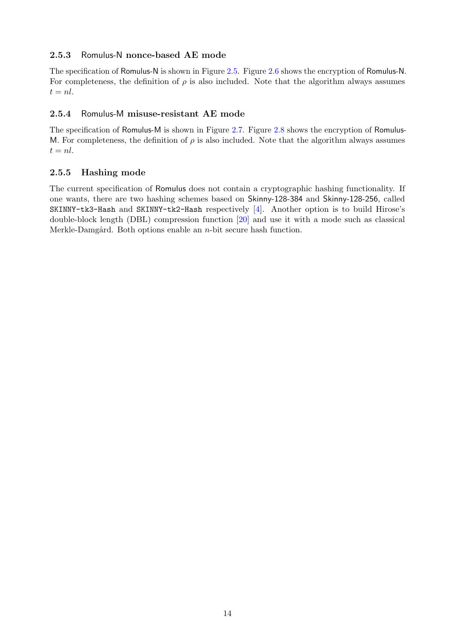#### 2.5.3 Romulus-N nonce-based AE mode

The specification of Romulus-N is shown in Figure [2.5.](#page-15-0) Figure [2.6](#page-16-0) shows the encryption of Romulus-N. For completeness, the definition of  $\rho$  is also included. Note that the algorithm always assumes  $t = nl$ .

#### 2.5.4 Romulus-M misuse-resistant AE mode

The specification of Romulus-M is shown in Figure [2.7.](#page-17-0) Figure [2.8](#page-18-0) shows the encryption of Romulus-M. For completeness, the definition of  $\rho$  is also included. Note that the algorithm always assumes  $t = nl$ .

### <span id="page-14-0"></span>2.5.5 Hashing mode

The current specification of Romulus does not contain a cryptographic hashing functionality. If one wants, there are two hashing schemes based on Skinny-128-384 and Skinny-128-256, called SKINNY-tk3-Hash and SKINNY-tk2-Hash respectively [\[4\]](#page-37-3). Another option is to build Hirose's double-block length (DBL) compression function [\[20\]](#page-38-4) and use it with a mode such as classical Merkle-Damgård. Both options enable an  $n$ -bit secure hash function.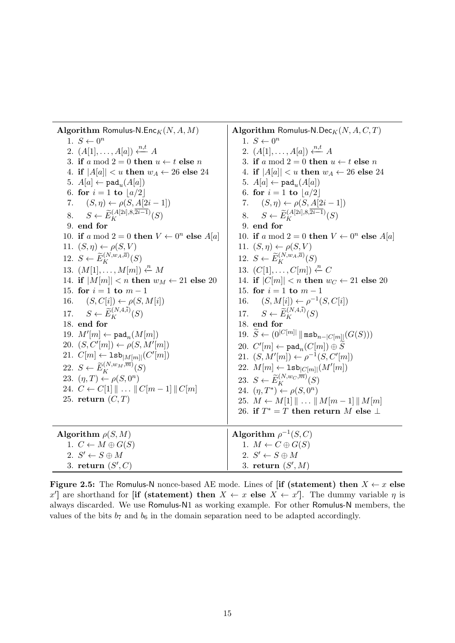<span id="page-15-0"></span>

| Algorithm Romulus-N.Enc $_K(N, A, M)$<br>1. $S \leftarrow 0^n$           | Algorithm Romulus-N.Dec <sub>K</sub> $(N, A, C, T)$<br>1. $S \leftarrow 0^n$        |
|--------------------------------------------------------------------------|-------------------------------------------------------------------------------------|
| 2. $(A[1], \ldots, A[a]) \xleftarrow{n,t} A$                             | 2. $(A[1], \ldots, A[a]) \xleftarrow{n,t} A$                                        |
| 3. if a mod $2 = 0$ then $u \leftarrow t$ else n                         | 3. if a mod $2 = 0$ then $u \leftarrow t$ else n                                    |
| 4. if $ A[a]  < u$ then $w_A \leftarrow 26$ else 24                      | 4. if $ A[a]  < u$ then $w_A \leftarrow 26$ else 24                                 |
| 5. $A[a] \leftarrow \text{pad}_{u}(A[a])$                                | 5. $A[a] \leftarrow \texttt{pad}_{u}(A[a])$                                         |
| 6. for $i = 1$ to $ a/2 $                                                | 6. for $i = 1$ to $ a/2 $                                                           |
| $(S, \eta) \leftarrow \rho(S, A[2i-1])$<br>7.                            | 7. $(S, \eta) \leftarrow \rho(S, A[2i-1])$                                          |
| $S \leftarrow \widetilde{E}_{K}^{(A[2i],8,\overline{2i-1})}(S)$<br>8.    | 8. $S \leftarrow \widetilde{E}_K^{(A[2i],8,\overline{2i-1})}(S)$                    |
| 9. end for                                                               | 9. end for                                                                          |
| 10. if a mod $2 = 0$ then $V \leftarrow 0^n$ else $A[a]$                 | 10. if a mod $2 = 0$ then $V \leftarrow 0^n$ else $A[a]$                            |
| 11. $(S, \eta) \leftarrow \rho(S, V)$                                    | 11. $(S, \eta) \leftarrow \rho(S, V)$                                               |
| 12. $S \leftarrow \widetilde{E}_K^{(N,w_A,\overline{a})}(S)$             | 12. $S \leftarrow \widetilde{E}_{K}^{(N,w_A,\overline{a})}(S)$                      |
| 13. $(M[1], \ldots, M[m]) \stackrel{n}{\leftarrow} M$                    | 13. $(C[1], \ldots, C[m]) \xleftarrow{n} C$                                         |
| 14. if $ M[m]  < n$ then $w_M \leftarrow 21$ else 20                     | 14. if $ C[m]  < n$ then $w_C \leftarrow 21$ else 20                                |
| 15. for $i = 1$ to $m - 1$                                               | 15. for $i = 1$ to $m - 1$                                                          |
| 16. $(S, C[i]) \leftarrow \rho(S, M[i])$                                 | 16. $(S, M[i]) \leftarrow \rho^{-1}(S, C[i])$                                       |
| $S \leftarrow \widetilde{E}_{\nu}^{(N,4,\bar{i})}(S)$<br>17.             | 17. $S \leftarrow \widetilde{E}_{\nu}^{(N,4,\overline{i})}(S)$                      |
| 18. end for                                                              | 18. end for                                                                         |
| 19. $M'[m] \leftarrow \texttt{pad}_n(M[m])$                              | 19. $\widetilde{S} \leftarrow (0^{ C[m] } \, \  \, \mathtt{msb}_{n- C[m] } (G(S)))$ |
| 20. $(S, C'[m]) \leftarrow \rho(S, M'[m])$                               | 20. $C'[m] \leftarrow \texttt{pad}_n(C[m]) \oplus \widetilde{S}$                    |
| 21. $C[m] \leftarrow \texttt{lsb}_{ M[m] }(C'[m])$                       | 21. $(S, M'[m]) \leftarrow \rho^{-1}(S, C'[m])$                                     |
| 22. $S \leftarrow \widetilde{E}_K^{(N,w_M,\overline{m})}(S)$             | 22. $M[m] \leftarrow \texttt{lsb}_{ C[m] }(M'[m])$                                  |
| 23. $(\eta, T) \leftarrow \rho(S, 0^n)$                                  | 23. $S \leftarrow \widetilde{E}_K^{(N,w_C,\overline{m})}(S)$                        |
| 24. $C \leftarrow C[1] \parallel \ldots \parallel C[m-1] \parallel C[m]$ | 24. $(\eta, T^*) \leftarrow \rho(S, 0^n)$                                           |
| 25. return $(C,T)$                                                       | 25. $M \leftarrow M[1] \parallel \ldots \parallel M[m-1] \parallel M[m]$            |
|                                                                          | 26. if $T^* = T$ then return M else $\perp$                                         |
| Algorithm $\rho(S, M)$                                                   | Algorithm $\rho^{-1}(S, C)$                                                         |
| 1. $C \leftarrow M \oplus G(S)$                                          | 1. $M \leftarrow C \oplus G(S)$                                                     |
| 2. $S' \leftarrow S \oplus M$                                            | 2. $S' \leftarrow S \oplus M$                                                       |
| 3. return $(S', C)$                                                      | 3. return $(S',M)$                                                                  |

Figure 2.5: The Romulus-N nonce-based AE mode. Lines of [if (statement) then  $X \leftarrow x$  else x'] are shorthand for [if (statement) then  $X \leftarrow x$  else  $X \leftarrow x'$ ]. The dummy variable  $\eta$  is always discarded. We use Romulus-N1 as working example. For other Romulus-N members, the values of the bits  $b_7$  and  $b_6$  in the domain separation need to be adapted accordingly.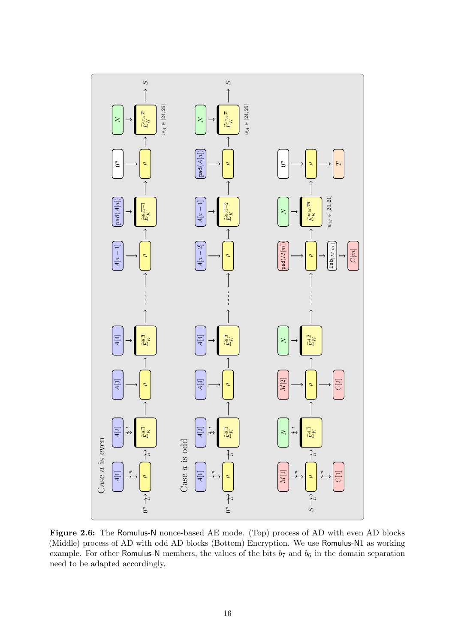<span id="page-16-0"></span>

Figure 2.6: The Romulus-N nonce-based AE mode. (Top) process of AD with even AD blocks (Middle) process of AD with odd AD blocks (Bottom) Encryption. We use Romulus-N1 as working example. For other Romulus-N members, the values of the bits  $b_7$  and  $b_6$  in the domain separation need to be adapted accordingly.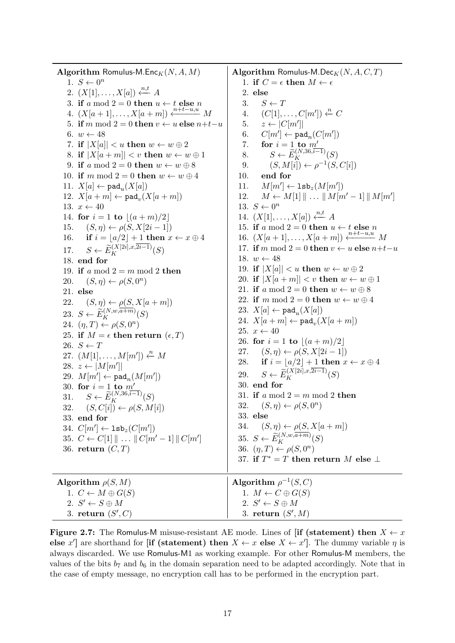<span id="page-17-0"></span>Algorithm Romulus-M.Enc $_K(N, A, M)$ 1.  $S \leftarrow 0^n$ 2.  $(X[1], \ldots, X[a]) \xleftarrow{n,t} A$ 3. if a mod  $2 = 0$  then  $u \leftarrow t$  else n 4.  $(X[a + 1], \ldots, X[a + m]) \stackrel{n+i-u,u}{\longleftarrow} M$ 5. if m mod 2 = 0 then  $v \leftarrow u$  else  $n+t-u$ 6.  $w \leftarrow 48$ 7. if  $|X[a]| < u$  then  $w \leftarrow w \oplus 2$ 8. if  $|X[a+m]| < v$  then  $w \leftarrow w \oplus 1$ 9. if a mod  $2 = 0$  then  $w \leftarrow w \oplus 8$ 10. if m mod  $2 = 0$  then  $w \leftarrow w \oplus 4$ 11.  $X[a] \leftarrow \texttt{pad}_{u}(X[a])$ 12.  $X[a+m] \leftarrow \texttt{pad}_v(X[a+m])$ 13.  $x \leftarrow 40$ 14. for  $i = 1$  to  $[(a + m)/2]$ <br>15.  $(S, \eta) \leftarrow \rho(S, X[2i - 1])$ 15.  $(S, \eta) \leftarrow \rho(S, X[2i - 1])$ <br>16. **if**  $i = |a/2| + 1$  **then** x if  $i = |a/2| + 1$  then  $x \leftarrow x \oplus 4$ 17.  $S \leftarrow \widetilde{E}_K^{(X[2i],x,2i-1)}(S)$ 18. end for 19. if a mod  $2 = m \mod 2$  then 20.  $(S, \eta) \leftarrow \rho(S, 0^n)$ 21. else 22.  $(S, \eta) \leftarrow \rho(S, X[a+m])$ 23.  $S \leftarrow \widetilde{E}_K^{(N,w,\overline{a+m})}(S)$ 24.  $(\eta, T) \leftarrow \rho(S, 0^n)$ 25. if  $M = \epsilon$  then return  $(\epsilon, T)$ 26.  $S \leftarrow T$ 27.  $(M[1], \ldots, M[m']) \stackrel{n}{\leftarrow} M$ 28.  $z \leftarrow |M[m']|$ 29.  $M[m'] \leftarrow \texttt{pad}_{n}(M[m'])$ 30. for  $i = 1$  to  $m$ 31.  $S \leftarrow \widetilde{E}_K^{(N,36,i-1)}(S)$ 32.  $(S, C[i]) \leftarrow \rho(S, M[i])$ 33. end for 34.  $C[m'] \leftarrow \mathtt{lsb}_z(C[m'])$ 35.  $C \leftarrow C[1] \parallel \ldots \parallel C[m'-1] \parallel C[m']$ 36. return  $(C, T)$ Algorithm Romulus-M.Dec $_K(N, A, C, T)$ 1. if  $C = \epsilon$  then  $M \leftarrow \epsilon$ 2. else 3.  $S \leftarrow T$ <br>4.  $(C[1],$ 4.  $(C[1], \ldots, C[m']) \xleftarrow{n} C$  $5. \quad z \leftarrow |C[m']|$ 6.  $C[m'] \leftarrow \mathtt{pad}_n(C[m'])$ 7. for  $i = 1$  to  $m$ 8.  $S \leftarrow \widetilde{E}_K^{(N,36,i-1)}(S)$ 9.  $(S, M[i]) \leftarrow \rho^{-1}(S, C[i])$ 10. end for 11.  $M[m'] \leftarrow \texttt{lsb}_z(M[m'])$ 12.  $M \leftarrow M[1] \parallel ... \parallel M[m'-1] \parallel M[m']$ 13.  $S \leftarrow 0^n$ 14.  $(X[1], \ldots, X[a]) \xleftarrow{n,t} A$ 15. if a mod  $2 = 0$  then  $u \leftarrow t$  else n 16.  $(X[a + 1], \ldots, X[a + m]) \xleftarrow{n + t - u, u \atop n + \cdots + n} M$ 17. if m mod 2 = 0 then  $v \leftarrow u$  else  $n+t-u$ 18.  $w \leftarrow 48$ 19. if  $|X[a]| < u$  then  $w \leftarrow w \oplus 2$ 20. if  $|X[a+m]| < v$  then  $w \leftarrow w \oplus 1$ 21. if a mod  $2 = 0$  then  $w \leftarrow w \oplus 8$ 22. if m mod  $2 = 0$  then  $w \leftarrow w \oplus 4$ 23.  $X[a] \leftarrow \texttt{pad}_{u}(X[a])$ 24.  $X[a+m] \leftarrow \texttt{pad}_v(X[a+m])$ 25.  $x \leftarrow 40$ 26. for  $i = 1$  to  $[(a + m)/2]$ <br>27.  $(S, \eta) \leftarrow \rho(S, X[2i-1])$ 27.  $(S, \eta) \leftarrow \rho(S, X[2i - 1])$ <br>28. **if**  $i = |a/2| + 1$  then x if  $i = |a/2| + 1$  then  $x \leftarrow x \oplus 4$ 29.  $S \leftarrow \widetilde{E}_K^{(X[2i],x,2i-1)}(S)$ 30. end for 31. if a mod  $2 = m \mod 2$  then 32.  $(S, \eta) \leftarrow \rho(S, 0^n)$ 33. else 34.  $(S, \eta) \leftarrow \rho(S, X[a+m])$ 35.  $S \leftarrow \widetilde{E}_K^{(N,w,\overline{a+m})}(S)$ 36.  $(\eta, T) \leftarrow \rho(S, 0^n)$ 37. if  $T^* = T$  then return M else  $\perp$ Algorithm  $\rho(S, M)$ 1.  $C \leftarrow M \oplus G(S)$ 2.  $S' \leftarrow S \oplus M$  $3.$  return  $(S', C)$ Algorithm  $\rho^{-1}(S,C)$ 1.  $M \leftarrow C \oplus G(S)$ 2.  $S' \leftarrow S \oplus M$ 3. return  $(S',M)$ 

Figure 2.7: The Romulus-M misuse-resistant AE mode. Lines of [if (statement) then  $X \leftarrow x$ else x'] are shorthand for [if (statement) then  $X \leftarrow x$  else  $X \leftarrow x'$ ]. The dummy variable  $\eta$  is always discarded. We use Romulus-M1 as working example. For other Romulus-M members, the values of the bits  $b_7$  and  $b_6$  in the domain separation need to be adapted accordingly. Note that in the case of empty message, no encryption call has to be performed in the encryption part.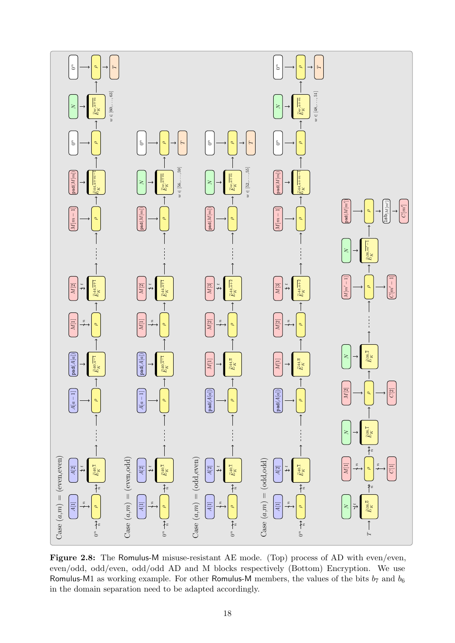<span id="page-18-0"></span>

Figure 2.8: The Romulus-M misuse-resistant AE mode. (Top) process of AD with even/even, even/odd, odd/even, odd/odd AD and M blocks respectively (Bottom) Encryption. We use Romulus-M1 as working example. For other Romulus-M members, the values of the bits  $b_7$  and  $b_6$ in the domain separation need to be adapted accordingly.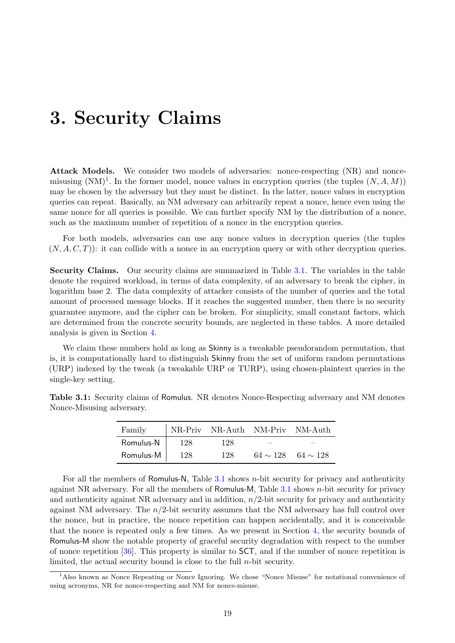# <span id="page-19-0"></span>3. Security Claims

Attack Models. We consider two models of adversaries: nonce-respecting (NR) and noncemisusing  $(NM)^{1}$  $(NM)^{1}$  $(NM)^{1}$ . In the former model, nonce values in encryption queries (the tuples  $(N, A, M)$ ) may be chosen by the adversary but they must be distinct. In the latter, nonce values in encryption queries can repeat. Basically, an NM adversary can arbitrarily repeat a nonce, hence even using the same nonce for all queries is possible. We can further specify NM by the distribution of a nonce, such as the maximum number of repetition of a nonce in the encryption queries.

For both models, adversaries can use any nonce values in decryption queries (the tuples  $(N, A, C, T)$ : it can collide with a nonce in an encryption query or with other decryption queries.

Security Claims. Our security claims are summarized in Table [3.1.](#page-19-2) The variables in the table denote the required workload, in terms of data complexity, of an adversary to break the cipher, in logarithm base 2. The data complexity of attacker consists of the number of queries and the total amount of processed message blocks. If it reaches the suggested number, then there is no security guarantee anymore, and the cipher can be broken. For simplicity, small constant factors, which are determined from the concrete security bounds, are neglected in these tables. A more detailed analysis is given in Section [4.](#page-21-0)

We claim these numbers hold as long as **Skinny** is a tweakable pseudorandom permutation, that is, it is computationally hard to distinguish Skinny from the set of uniform random permutations (URP) indexed by the tweak (a tweakable URP or TURP), using chosen-plaintext queries in the single-key setting.

| Family    |     | NR-Priv NR-Auth NM-Priv NM-Auth |                             |
|-----------|-----|---------------------------------|-----------------------------|
| Romulus-N | 128 | 128                             |                             |
| Romulus-M | 128 | 128                             | $64 \sim 128$ $64 \sim 128$ |

<span id="page-19-2"></span>Table 3.1: Security claims of Romulus. NR denotes Nonce-Respecting adversary and NM denotes Nonce-Misusing adversary.

For all the members of Romulus-N, Table  $3.1$  shows *n*-bit security for privacy and authenticity against NR adversary. For all the members of Romulus-M, Table [3.1](#page-19-2) shows n-bit security for privacy and authenticity against NR adversary and in addition,  $n/2$ -bit security for privacy and authenticity against NM adversary. The  $n/2$ -bit security assumes that the NM adversary has full control over the nonce, but in practice, the nonce repetition can happen accidentally, and it is conceivable that the nonce is repeated only a few times. As we present in Section [4,](#page-21-0) the security bounds of Romulus-M show the notable property of graceful security degradation with respect to the number of nonce repetition [\[36\]](#page-39-1). This property is similar to SCT, and if the number of nonce repetition is limited, the actual security bound is close to the full  $n$ -bit security.

<span id="page-19-1"></span><sup>1</sup>Also known as Nonce Repeating or Nonce Ignoring. We chose "Nonce Misuse" for notational convenience of using acronyms, NR for nonce-respecting and NM for nonce-misuse.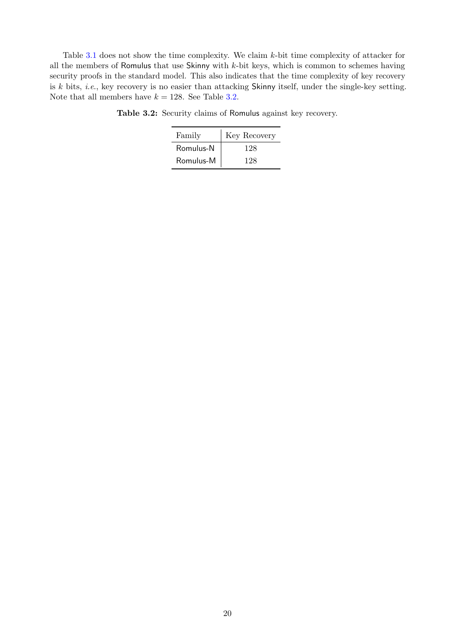<span id="page-20-0"></span>Table [3.1](#page-19-2) does not show the time complexity. We claim k-bit time complexity of attacker for all the members of Romulus that use Skinny with  $k$ -bit keys, which is common to schemes having security proofs in the standard model. This also indicates that the time complexity of key recovery is  $k$  bits, *i.e.*, key recovery is no easier than attacking Skinny itself, under the single-key setting. Note that all members have  $k = 128$ . See Table [3.2.](#page-20-0)

| Family    | Key Recovery |  |  |  |  |
|-----------|--------------|--|--|--|--|
| Romulus-N | 128          |  |  |  |  |
| Romulus-M | 128          |  |  |  |  |

Table 3.2: Security claims of Romulus against key recovery.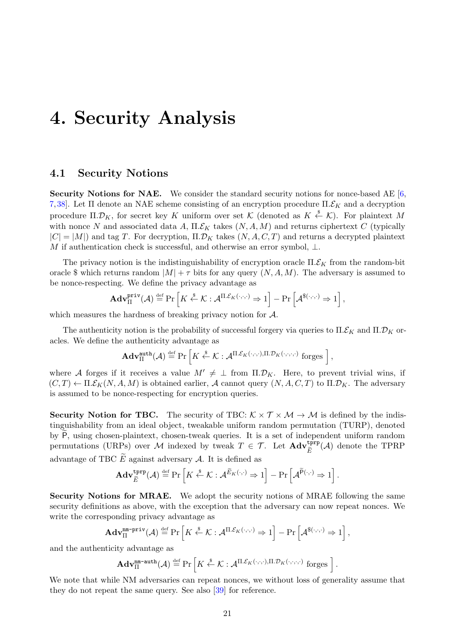# <span id="page-21-0"></span>4. Security Analysis

#### 4.1 Security Notions

Security Notions for NAE. We consider the standard security notions for nonce-based AE [\[6,](#page-37-4) [7,](#page-37-5) [38\]](#page-39-5). Let Π denote an NAE scheme consisting of an encryption procedure  $\Pi$ .  $\mathcal{E}_K$  and a decryption procedure  $\Pi.\mathcal{D}_K$ , for secret key K uniform over set K (denoted as  $K \xleftarrow{\$} \mathcal{K}$ ). For plaintext M with nonce N and associated data A,  $\Pi.\mathcal{E}_K$  takes  $(N, A, M)$  and returns ciphertext C (typically  $|C| = |M|$ ) and tag T. For decryption,  $\Pi.\mathcal{D}_K$  takes  $(N, A, C, T)$  and returns a decrypted plaintext M if authentication check is successful, and otherwise an error symbol,  $\bot$ .

The privacy notion is the indistinguishability of encryption oracle  $\Pi.\mathcal{E}_K$  from the random-bit oracle \$ which returns random  $|M| + \tau$  bits for any query  $(N, A, M)$ . The adversary is assumed to be nonce-respecting. We define the privacy advantage as

$$
\mathbf{Adv}_{\Pi}^{\mathbf{priv}}(\mathcal{A}) \stackrel{\text{def}}{=} \Pr\left[K \stackrel{\$}{\leftarrow} \mathcal{K} : \mathcal{A}^{\Pi,\mathcal{E}_K(\cdot,\cdot,\cdot)} \Rightarrow 1\right] - \Pr\left[\mathcal{A}^{\$(\cdot,\cdot,\cdot)} \Rightarrow 1\right],
$$

which measures the hardness of breaking privacy notion for  $A$ .

The authenticity notion is the probability of successful forgery via queries to  $\Pi$ . $\mathcal{E}_K$  and  $\Pi$ . $\mathcal{D}_K$  oracles. We define the authenticity advantage as

$$
\mathbf{Adv}_{\Pi}^{\text{auth}}(\mathcal{A}) \stackrel{\text{def}}{=} \Pr\left[K \stackrel{\$}{\leftarrow} \mathcal{K} : \mathcal{A}^{\Pi \mathcal{E}_K(\cdot, \cdot, \cdot), \Pi \mathcal{D}_K(\cdot, \cdot, \cdot, \cdot)} \text{ forges }\right],
$$

where A forges if it receives a value  $M' \neq \perp$  from  $\Pi.\mathcal{D}_K$ . Here, to prevent trivial wins, if  $(C, T) \leftarrow \Pi \mathcal{E}_K(N, A, M)$  is obtained earlier, A cannot query  $(N, A, C, T)$  to  $\Pi \mathcal{D}_K$ . The adversary is assumed to be nonce-respecting for encryption queries.

Security Notion for TBC. The security of TBC:  $K \times T \times M \rightarrow M$  is defined by the indistinguishability from an ideal object, tweakable uniform random permutation (TURP), denoted by  $\widetilde{P}$ , using chosen-plaintext, chosen-tweak queries. It is a set of independent uniform random permutations (URPs) over M indexed by tweak  $T \in \mathcal{T}$ . Let  $\mathbf{Adv}_{\tilde{E}}^{\text{tprp}}(\mathcal{A})$  denote the TPRP advantage of TBC  $\widetilde{E}$  against adversary A. It is defined as

$$
\mathbf{Adv}_{\widetilde{E}}^{\mathbf{tprp}}(\mathcal{A}) \stackrel{\mathrm{def}}{=} \Pr\left[K \stackrel{\$}{\leftarrow} \mathcal{K}: \mathcal{A}^{\widetilde{E}_K(\cdot, \cdot)} \Rightarrow 1\right] - \Pr\left[\mathcal{A}^{\widetilde{\mathsf{P}}(\cdot, \cdot)} \Rightarrow 1\right].
$$

Security Notions for MRAE. We adopt the security notions of MRAE following the same security definitions as above, with the exception that the adversary can now repeat nonces. We write the corresponding privacy advantage as

$$
\mathbf{Adv}_{\Pi}^{\mathtt{nm-priv}}(\mathcal{A}) \stackrel{\text{def}}{=} \Pr\left[K \stackrel{\$}{\leftarrow} \mathcal{K} : \mathcal{A}^{\Pi,\mathcal{E}_K(\cdot,\cdot,\cdot)} \Rightarrow 1\right] - \Pr\left[\mathcal{A}^{\$(\cdot,\cdot,\cdot)} \Rightarrow 1\right],
$$

and the authenticity advantage as

$$
\mathbf{Adv}_{\Pi}^{\mathtt{nm} \text{-}\mathbf{auth}}(\mathcal{A}) \stackrel{\text{def}}{=} \Pr\left[K \stackrel{\$}{\leftarrow} \mathcal{K} : \mathcal{A}^{\Pi.\mathcal{E}_K(\cdot,\cdot,\cdot),\Pi.\mathcal{D}_K(\cdot,\cdot,\cdot,\cdot)} \text{ forges }\right].
$$

<span id="page-21-1"></span>We note that while NM adversaries can repeat nonces, we without loss of generality assume that they do not repeat the same query. See also [\[39\]](#page-39-2) for reference.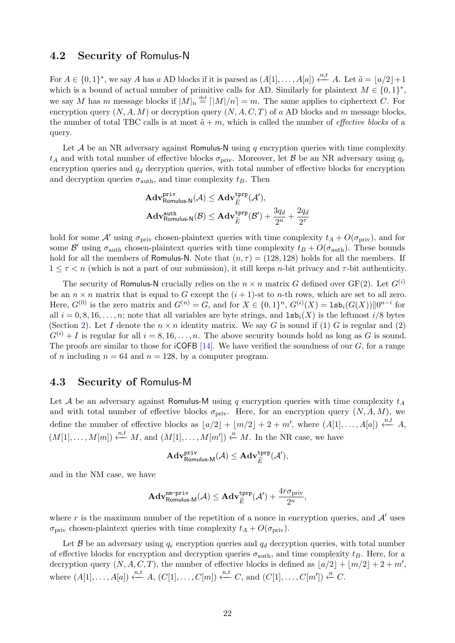#### 4.2 Security of Romulus-N

For  $A \in \{0,1\}^*$ , we say A has a AD blocks if it is parsed as  $(A[1], \ldots, A[a]) \stackrel{n,t}{\longleftarrow} A$ . Let  $\tilde{a} = \lfloor a/2 \rfloor + 1$ which is a bound of actual number of primitive calls for AD. Similarly for plaintext  $M \in \{0,1\}^*$ , we say M has m message blocks if  $|M|_n \stackrel{\text{def}}{=} |M|/n = m$ . The same applies to ciphertext C. For encryption query  $(N, A, M)$  or decryption query  $(N, A, C, T)$  of a AD blocks and m message blocks, the number of total TBC calls is at most  $\tilde{a} + m$ , which is called the number of *effective blocks* of a query.

Let  $A$  be an NR adversary against Romulus-N using q encryption queries with time complexity  $t_A$  and with total number of effective blocks  $\sigma_{\text{priv}}$ . Moreover, let B be an NR adversary using  $q_e$ encryption queries and  $q_d$  decryption queries, with total number of effective blocks for encryption and decryption queries  $\sigma_{\text{auth}}$ , and time complexity  $t_B$ . Then

$$
\begin{aligned} &\mathbf{Adv}_{\mathsf{Romulus-N}}^{\mathsf{priv}}(\mathcal{A}) \leq \mathbf{Adv}_{\widetilde{E}}^{\mathsf{tprp}}(\mathcal{A}'),\\ &\mathbf{Adv}_{\mathsf{Romulus-N}}^{\mathsf{auth}}(\mathcal{B}) \leq \mathbf{Adv}_{\widetilde{E}}^{\mathsf{tprp}}(\mathcal{B}') + \frac{3q_d}{2^n} + \frac{2q_d}{2^\tau} \end{aligned}
$$

hold for some A' using  $\sigma_{\text{priv}}$  chosen-plaintext queries with time complexity  $t_A + O(\sigma_{\text{priv}})$ , and for some  $\mathcal{B}'$  using  $\sigma_{\text{auth}}$  chosen-plaintext queries with time complexity  $t_B + O(\sigma_{\text{auth}})$ . These bounds hold for all the members of Romulus-N. Note that  $(n, \tau) = (128, 128)$  holds for all the members. If  $1 \leq \tau \leq n$  (which is not a part of our submission), it still keeps *n*-bit privacy and  $\tau$ -bit authenticity.

The security of Romulus-N crucially relies on the  $n \times n$  matrix G defined over GF(2). Let  $G^{(i)}$ be an  $n \times n$  matrix that is equal to G except the  $(i + 1)$ -st to n-th rows, which are set to all zero. Here,  $G^{(0)}$  is the zero matrix and  $G^{(n)} = G$ , and for  $X \in \{0,1\}^n$ ,  $G^{(i)}(X) = \texttt{lsb}_i(G(X))\|0^{n-i}$  for all  $i = 0, 8, 16, \ldots, n$ ; note that all variables are byte strings, and  $\text{lsb}_i(X)$  is the leftmost  $i/8$  bytes (Section [2\)](#page-4-0). Let I denote the  $n \times n$  identity matrix. We say G is sound if (1) G is regular and (2)  $G^{(i)} + I$  is regular for all  $i = 8, 16, \ldots, n$ . The above security bounds hold as long as G is sound. The proofs are similar to those for  $\mathsf{ICOFB}$  [\[14\]](#page-38-2). We have verified the soundness of our  $G$ , for a range of *n* including  $n = 64$  and  $n = 128$ , by a computer program.

#### <span id="page-22-0"></span>4.3 Security of Romulus-M

Let A be an adversary against Romulus-M using q encryption queries with time complexity  $t_A$ and with total number of effective blocks  $\sigma_{\text{priv}}$ . Here, for an encryption query  $(N, A, M)$ , we define the number of effective blocks as  $\lfloor a/2 \rfloor + \lfloor m/2 \rfloor + 2 + m'$ , where  $(A[1], \ldots, A[a]) \stackrel{n,t}{\longleftarrow} A$ ,  $(M[1], \ldots, M[m]) \stackrel{n,t}{\longleftarrow} M$ , and  $(M[1], \ldots, M[m']) \stackrel{n}{\longleftarrow} M$ . In the NR case, we have

$$
\mathbf{Adv}_{\mathsf{Romulus-M}}^{\mathsf{priv}}(\mathcal{A}) \leq \mathbf{Adv}_{\widetilde{E}}^{\mathsf{tprp}}(\mathcal{A}'),
$$

and in the NM case, we have

$$
\mathbf{Adv}_{\mathsf{Romulus-M}}^{\mathtt{nm-priv}}(\mathcal{A}) \leq \mathbf{Adv}_{\widetilde{E}}^{\mathtt{tprp}}(\mathcal{A}') + \frac{4r\sigma_{\text{priv}}}{2^n},
$$

where r is the maximum number of the repetition of a nonce in encryption queries, and  $\mathcal{A}'$  uses  $\sigma_{\text{priv}}$  chosen-plaintext queries with time complexity  $t_A + O(\sigma_{\text{priv}})$ .

Let B be an adversary using  $q_e$  encryption queries and  $q_d$  decryption queries, with total number of effective blocks for encryption and decryption queries  $\sigma_{\text{auth}}$ , and time complexity  $t_B$ . Here, for a decryption query  $(N, A, C, T)$ , the number of effective blocks is defined as  $\lfloor a/2 \rfloor + \lfloor m/2 \rfloor + 2 + m'$ , where  $(A[1], \ldots, A[a]) \stackrel{n,t}{\leftarrow} A$ ,  $(C[1], \ldots, C[m]) \stackrel{n,t}{\leftarrow} C$ , and  $(C[1], \ldots, C[m']) \stackrel{n}{\leftarrow} C$ .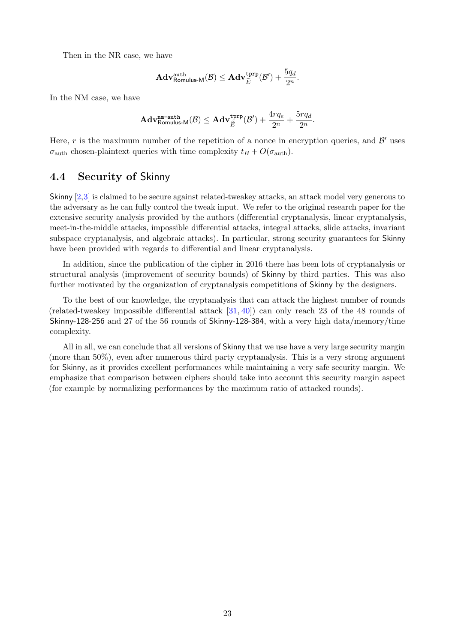Then in the NR case, we have

$$
\mathbf{Adv}^{\text{auth}}_{\text{Romulus-M}}(\mathcal{B}) \leq \mathbf{Adv}^{\text{tprp}}_{\widetilde{E}}(\mathcal{B}') + \frac{5q_d}{2^n}.
$$

In the NM case, we have

$$
\mathbf{Adv}_{\mathsf{Romulus-M}}^{\mathtt{nm} \text{-} \mathtt{auth}}(\mathcal{B}) \leq \mathbf{Adv}_{\widetilde{E}}^{\mathtt{tprp}}(\mathcal{B}') + \frac{4rq_e}{2^n} + \frac{5rq_d}{2^n}.
$$

Here, r is the maximum number of the repetition of a nonce in encryption queries, and  $\mathcal{B}'$  uses  $\sigma_{\text{auth}}$  chosen-plaintext queries with time complexity  $t_B + O(\sigma_{\text{auth}})$ .

#### 4.4 Security of Skinny

Skinny [\[2,](#page-37-2)[3\]](#page-37-6) is claimed to be secure against related-tweakey attacks, an attack model very generous to the adversary as he can fully control the tweak input. We refer to the original research paper for the extensive security analysis provided by the authors (differential cryptanalysis, linear cryptanalysis, meet-in-the-middle attacks, impossible differential attacks, integral attacks, slide attacks, invariant subspace cryptanalysis, and algebraic attacks). In particular, strong security guarantees for Skinny have been provided with regards to differential and linear cryptanalysis.

In addition, since the publication of the cipher in 2016 there has been lots of cryptanalysis or structural analysis (improvement of security bounds) of Skinny by third parties. This was also further motivated by the organization of cryptanalysis competitions of Skinny by the designers.

To the best of our knowledge, the cryptanalysis that can attack the highest number of rounds (related-tweakey impossible differential attack [\[31,](#page-39-6) [40\]](#page-39-7)) can only reach 23 of the 48 rounds of Skinny-128-256 and 27 of the 56 rounds of Skinny-128-384, with a very high data/memory/time complexity.

All in all, we can conclude that all versions of Skinny that we use have a very large security margin (more than 50%), even after numerous third party cryptanalysis. This is a very strong argument for Skinny, as it provides excellent performances while maintaining a very safe security margin. We emphasize that comparison between ciphers should take into account this security margin aspect (for example by normalizing performances by the maximum ratio of attacked rounds).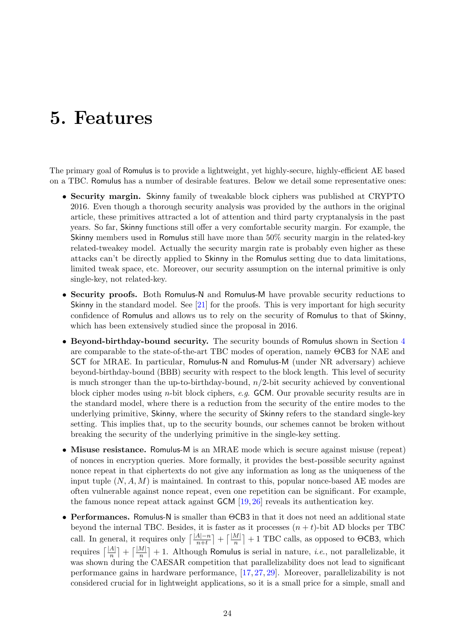# <span id="page-24-0"></span>5. Features

The primary goal of Romulus is to provide a lightweight, yet highly-secure, highly-efficient AE based on a TBC. Romulus has a number of desirable features. Below we detail some representative ones:

- Security margin. Skinny family of tweakable block ciphers was published at CRYPTO 2016. Even though a thorough security analysis was provided by the authors in the original article, these primitives attracted a lot of attention and third party cryptanalysis in the past years. So far, Skinny functions still offer a very comfortable security margin. For example, the Skinny members used in Romulus still have more than 50% security margin in the related-key related-tweakey model. Actually the security margin rate is probably even higher as these attacks can't be directly applied to Skinny in the Romulus setting due to data limitations, limited tweak space, etc. Moreover, our security assumption on the internal primitive is only single-key, not related-key.
- Security proofs. Both Romulus-N and Romulus-M have provable security reductions to Skinny in the standard model. See [\[21\]](#page-38-5) for the proofs. This is very important for high security confidence of Romulus and allows us to rely on the security of Romulus to that of Skinny, which has been extensively studied since the proposal in 2016.
- Beyond-birthday-bound security. The security bounds of Romulus shown in Section [4](#page-21-0) are comparable to the state-of-the-art TBC modes of operation, namely ΘCB3 for NAE and SCT for MRAE. In particular, Romulus-N and Romulus-M (under NR adversary) achieve beyond-birthday-bound (BBB) security with respect to the block length. This level of security is much stronger than the up-to-birthday-bound,  $n/2$ -bit security achieved by conventional block cipher modes using n-bit block ciphers, e.g. GCM. Our provable security results are in the standard model, where there is a reduction from the security of the entire modes to the underlying primitive, Skinny, where the security of Skinny refers to the standard single-key setting. This implies that, up to the security bounds, our schemes cannot be broken without breaking the security of the underlying primitive in the single-key setting.
- Misuse resistance. Romulus-M is an MRAE mode which is secure against misuse (repeat) of nonces in encryption queries. More formally, it provides the best-possible security against nonce repeat in that ciphertexts do not give any information as long as the uniqueness of the input tuple  $(N, A, M)$  is maintained. In contrast to this, popular nonce-based AE modes are often vulnerable against nonce repeat, even one repetition can be significant. For example, the famous nonce repeat attack against GCM [\[19,](#page-38-6) [26\]](#page-38-7) reveals its authentication key.
- Performances. Romulus-N is smaller than ΘCB3 in that it does not need an additional state beyond the internal TBC. Besides, it is faster as it processes  $(n + t)$ -bit AD blocks per TBC call. In general, it requires only  $\left[\frac{|A|-n}{n+t}\right] + \left[\frac{|M|}{n}\right] + 1$  TBC calls, as opposed to  $\Theta$ CB3, which requires  $\lceil \frac{|A|}{n} \rceil + \lceil \frac{|M|}{n} \rceil + 1$ . Although Romulus is serial in nature, *i.e.*, not parallelizable, it was shown during the CAESAR competition that parallelizability does not lead to significant performance gains in hardware performance, [\[17,](#page-38-8) [27,](#page-38-9) [29\]](#page-39-8). Moreover, parallelizability is not considered crucial for in lightweight applications, so it is a small price for a simple, small and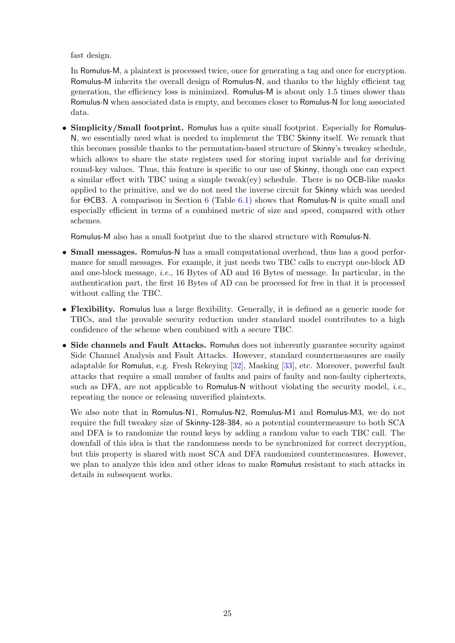fast design.

In Romulus-M, a plaintext is processed twice, once for generating a tag and once for encryption. Romulus-M inherits the overall design of Romulus-N, and thanks to the highly efficient tag generation, the efficiency loss is minimized. Romulus-M is about only 1.5 times slower than Romulus-N when associated data is empty, and becomes closer to Romulus-N for long associated data.

• Simplicity/Small footprint. Romulus has a quite small footprint. Especially for Romulus-N, we essentially need what is needed to implement the TBC Skinny itself. We remark that this becomes possible thanks to the permutation-based structure of Skinny's tweakey schedule, which allows to share the state registers used for storing input variable and for deriving round-key values. Thus, this feature is specific to our use of Skinny, though one can expect a similar effect with TBC using a simple tweak $(ey)$  schedule. There is no OCB-like masks applied to the primitive, and we do not need the inverse circuit for Skinny which was needed for ΘCB3. A comparison in Section [6](#page-26-0) (Table [6.1\)](#page-27-0) shows that Romulus-N is quite small and especially efficient in terms of a combined metric of size and speed, compared with other schemes.

Romulus-M also has a small footprint due to the shared structure with Romulus-N.

- Small messages. Romulus-N has a small computational overhead, thus has a good performance for small messages. For example, it just needs two TBC calls to encrypt one-block AD and one-block message, i.e., 16 Bytes of AD and 16 Bytes of message. In particular, in the authentication part, the first 16 Bytes of AD can be processed for free in that it is processed without calling the TBC.
- Flexibility. Romulus has a large flexibility. Generally, it is defined as a generic mode for TBCs, and the provable security reduction under standard model contributes to a high confidence of the scheme when combined with a secure TBC.
- Side channels and Fault Attacks. Romulus does not inherently guarantee security against Side Channel Analysis and Fault Attacks. However, standard countermeasures are easily adaptable for Romulus, e.g. Fresh Rekeying [\[32\]](#page-39-9), Masking [\[33\]](#page-39-10), etc. Moreover, powerful fault attacks that require a small number of faults and pairs of faulty and non-faulty ciphertexts, such as DFA, are not applicable to Romulus-N without violating the security model, *i.e.*, repeating the nonce or releasing unverified plaintexts.

We also note that in Romulus-N1, Romulus-N2, Romulus-M1 and Romulus-M3, we do not require the full tweakey size of Skinny-128-384, so a potential countermeasure to both SCA and DFA is to randomize the round keys by adding a random value to each TBC call. The downfall of this idea is that the randomness needs to be synchronized for correct decryption, but this property is shared with most SCA and DFA randomized countermeasures. However, we plan to analyze this idea and other ideas to make Romulus resistant to such attacks in details in subsequent works.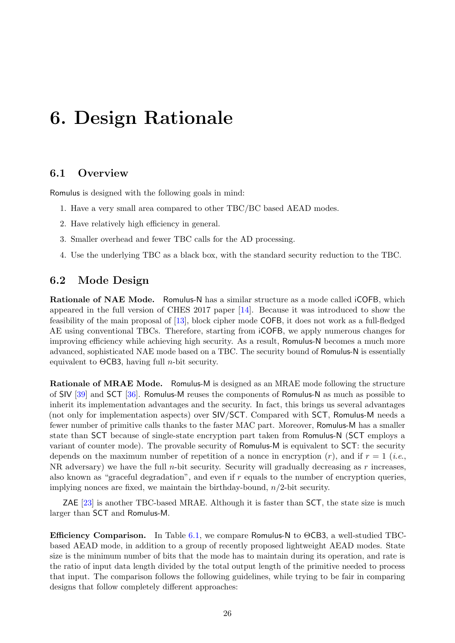# <span id="page-26-0"></span>6. Design Rationale

### 6.1 Overview

Romulus is designed with the following goals in mind:

- 1. Have a very small area compared to other TBC/BC based AEAD modes.
- 2. Have relatively high efficiency in general.
- 3. Smaller overhead and fewer TBC calls for the AD processing.
- 4. Use the underlying TBC as a black box, with the standard security reduction to the TBC.

### 6.2 Mode Design

Rationale of NAE Mode. Romulus-N has a similar structure as a mode called iCOFB, which appeared in the full version of CHES 2017 paper [\[14\]](#page-38-2). Because it was introduced to show the feasibility of the main proposal of [\[13\]](#page-38-1), block cipher mode COFB, it does not work as a full-fledged AE using conventional TBCs. Therefore, starting from iCOFB, we apply numerous changes for improving efficiency while achieving high security. As a result, Romulus-N becomes a much more advanced, sophisticated NAE mode based on a TBC. The security bound of Romulus-N is essentially equivalent to  $\Theta$ CB3, having full *n*-bit security.

Rationale of MRAE Mode. Romulus-M is designed as an MRAE mode following the structure of SIV [\[39\]](#page-39-2) and SCT [\[36\]](#page-39-1). Romulus-M reuses the components of Romulus-N as much as possible to inherit its implementation advantages and the security. In fact, this brings us several advantages (not only for implementation aspects) over SIV/SCT. Compared with SCT, Romulus-M needs a fewer number of primitive calls thanks to the faster MAC part. Moreover, Romulus-M has a smaller state than SCT because of single-state encryption part taken from Romulus-N (SCT employs a variant of counter mode). The provable security of Romulus-M is equivalent to SCT: the security depends on the maximum number of repetition of a nonce in encryption  $(r)$ , and if  $r = 1$  (*i.e.*, NR adversary) we have the full *n*-bit security. Security will gradually decreasing as r increases, also known as "graceful degradation", and even if  $r$  equals to the number of encryption queries, implying nonces are fixed, we maintain the birthday-bound,  $n/2$ -bit security.

ZAE [\[23\]](#page-38-10) is another TBC-based MRAE. Although it is faster than SCT, the state size is much larger than SCT and Romulus-M.

**Efficiency Comparison.** In Table [6.1,](#page-27-0) we compare Romulus-N to  $\Theta$ CB3, a well-studied TBCbased AEAD mode, in addition to a group of recently proposed lightweight AEAD modes. State size is the minimum number of bits that the mode has to maintain during its operation, and rate is the ratio of input data length divided by the total output length of the primitive needed to process that input. The comparison follows the following guidelines, while trying to be fair in comparing designs that follow completely different approaches: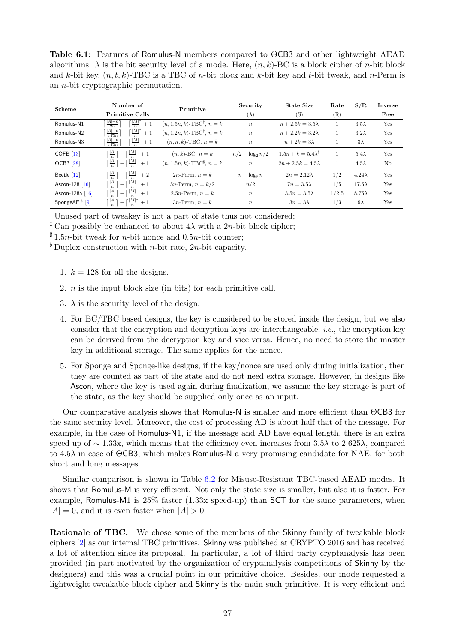<span id="page-27-0"></span>Table 6.1: Features of Romulus-N members compared to ΘCB3 and other lightweight AEAD algorithms:  $\lambda$  is the bit security level of a mode. Here,  $(n, k)$ -BC is a block cipher of *n*-bit block and k-bit key,  $(n, t, k)$ -TBC is a TBC of n-bit block and k-bit key and t-bit tweak, and n-Perm is an n-bit cryptographic permutation.

| Scheme                     | Number of<br><b>Primitive Calls</b>                                                      | Primitive                                  | Security<br>$(\lambda)$ | <b>State Size</b><br>(S)           | Rate<br>(R) | S/R           | Inverse<br>Free |
|----------------------------|------------------------------------------------------------------------------------------|--------------------------------------------|-------------------------|------------------------------------|-------------|---------------|-----------------|
| Romulus-N1                 | $\left\lceil \frac{ A -n}{2n} \right\rceil + \left\lceil \frac{ M }{n} \right\rceil + 1$ | $(n, 1.5n, k)$ -TBC <sup>†</sup> , $n = k$ | $\boldsymbol{n}$        | $n+2.5k=3.5\lambda$                |             | $3.5\lambda$  | Yes             |
| Romulus-N <sub>2</sub>     | $\lceil \frac{ A -n}{1.75n} \rceil + \lceil \frac{ M }{n} \rceil + 1$                    | $(n, 1.2n, k)$ -TBC <sup>†</sup> , $n = k$ | $\boldsymbol{n}$        | $n+2.2k=3.2\lambda$                |             | $3.2\lambda$  | Yes             |
| Romulus-N <sub>3</sub>     | $\lceil \frac{ A -n}{1.75n} \rceil + \lceil \frac{ M }{n} \rceil + 1$                    | $(n, n, k)$ -TBC, $n = k$                  | $\boldsymbol{n}$        | $n+2k=3\lambda$                    |             | $3\lambda$    | Yes             |
| COFB $[13]$                | $\lceil \frac{ A }{n} \rceil + \lceil \frac{ M }{n} \rceil + 1$                          | $(n, k)$ -BC, $n = k$                      | $n/2 - \log_2 n/2$      | $1.5n + k = 5.4\lambda^{\ddagger}$ |             | $5.4\lambda$  | Yes             |
| $\Theta$ CB3 [28]          | $\lceil \frac{ A }{n} \rceil + \lceil \frac{ M }{n} \rceil + 1$                          | $(n, 1.5n, k)$ -TBC <sup>‡</sup> , $n = k$ | $\boldsymbol{n}$        | $2n+2.5k=4.5\lambda$               |             | $4.5\lambda$  | No              |
| Beetle $[12]$              | $\lceil \frac{ A }{n} \rceil + \lceil \frac{ M }{n} \rceil + 2$                          | $2n$ -Perm, $n = k$                        | $n - \log_2 n$          | $2n = 2.12\lambda$                 | 1/2         | $4.24\lambda$ | Yes             |
| Ascon-128 [16]             | $\lceil \frac{ A }{n} \rceil + \lceil \frac{ M }{n} \rceil + 1$                          | $5n$ -Perm, $n = k/2$                      | n/2                     | $7n = 3.5\lambda$                  | 1/5         | $17.5\lambda$ | Yes             |
| Ascon-128a [16]            | $\lceil \frac{ A }{n} \rceil + \lceil \frac{ M }{n} \rceil + 1$                          | 2.5 <i>n</i> -Perm, $n = k$                | $\boldsymbol{n}$        | $3.5n = 3.5\lambda$                | 1/2.5       | $8.75\lambda$ | Yes             |
| SpongeAE $\frac{1}{2}$ [9] | $\lceil \frac{ A }{n} \rceil + \lceil \frac{ M }{n} \rceil + 1$                          | $3n$ -Perm, $n = k$                        | $\boldsymbol{n}$        | $3n=3\lambda$                      | 1/3         | $9\lambda$    | Yes             |

† Unused part of tweakey is not a part of state thus not considered;

<sup>‡</sup> Can possibly be enhanced to about  $4\lambda$  with a 2*n*-bit block cipher;

 $\sharp$  1.5*n*-bit tweak for *n*-bit nonce and 0.5*n*-bit counter;

<sup>b</sup> Duplex construction with *n*-bit rate, 2*n*-bit capacity.

- 1.  $k = 128$  for all the designs.
- 2. n is the input block size (in bits) for each primitive call.
- 3.  $\lambda$  is the security level of the design.
- 4. For BC/TBC based designs, the key is considered to be stored inside the design, but we also consider that the encryption and decryption keys are interchangeable, i.e., the encryption key can be derived from the decryption key and vice versa. Hence, no need to store the master key in additional storage. The same applies for the nonce.
- 5. For Sponge and Sponge-like designs, if the key/nonce are used only during initialization, then they are counted as part of the state and do not need extra storage. However, in designs like Ascon, where the key is used again during finalization, we assume the key storage is part of the state, as the key should be supplied only once as an input.

Our comparative analysis shows that Romulus-N is smaller and more efficient than ΘCB3 for the same security level. Moreover, the cost of processing AD is about half that of the message. For example, in the case of Romulus-N1, if the message and AD have equal length, there is an extra speed up of ∼ 1.33x, which means that the efficiency even increases from 3.5 $\lambda$  to 2.625 $\lambda$ , compared to  $4.5\lambda$  in case of  $\Theta$ CB3, which makes Romulus-N a very promising candidate for NAE, for both short and long messages.

Similar comparison is shown in Table [6.2](#page-28-0) for Misuse-Resistant TBC-based AEAD modes. It shows that Romulus-M is very efficient. Not only the state size is smaller, but also it is faster. For example, Romulus-M1 is 25% faster (1.33x speed-up) than SCT for the same parameters, when  $|A| = 0$ , and it is even faster when  $|A| > 0$ .

Rationale of TBC. We chose some of the members of the Skinny family of tweakable block ciphers [\[2\]](#page-37-2) as our internal TBC primitives. Skinny was published at CRYPTO 2016 and has received a lot of attention since its proposal. In particular, a lot of third party cryptanalysis has been provided (in part motivated by the organization of cryptanalysis competitions of Skinny by the designers) and this was a crucial point in our primitive choice. Besides, our mode requested a lightweight tweakable block cipher and Skinny is the main such primitive. It is very efficient and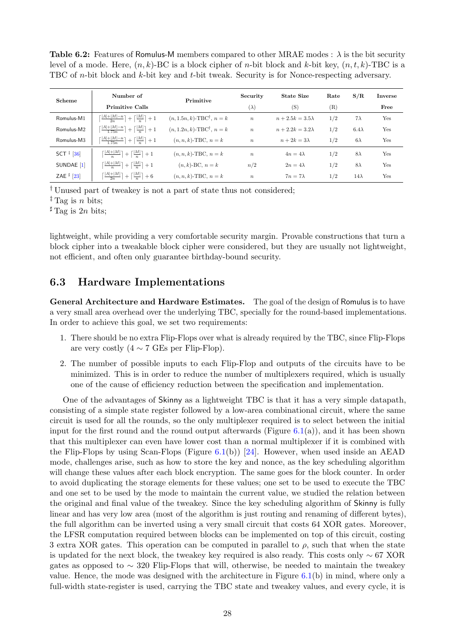<span id="page-28-0"></span>**Table 6.2:** Features of Romulus-M members compared to other MRAE modes :  $\lambda$  is the bit security level of a mode. Here,  $(n, k)$ -BC is a block cipher of *n*-bit block and *k*-bit key,  $(n, t, k)$ -TBC is a TBC of n-bit block and k-bit key and t-bit tweak. Security is for Nonce-respecting adversary.

| Scheme                                    | Number of                                                                 | Primitive                                  | Security         | <b>State Size</b>   | Rate | S/R          | Inverse |
|-------------------------------------------|---------------------------------------------------------------------------|--------------------------------------------|------------------|---------------------|------|--------------|---------|
|                                           | <b>Primitive Calls</b>                                                    |                                            | $(\lambda)$      | (S)                 | (R)  |              | Free    |
| Romulus-M1                                | $\lceil \frac{ A + M -n}{2n} \rceil + \lceil \frac{ M }{n} \rceil + 1$    | $(n, 1.5n, k)$ -TBC <sup>†</sup> , $n = k$ | $\boldsymbol{n}$ | $n+2.5k=3.5\lambda$ | 1/2  | $7\lambda$   | Yes     |
| Romulus-M2                                | $\lceil \frac{ A + M -n}{1.75n} \rceil + \lceil \frac{ M }{n} \rceil + 1$ | $(n, 1.2n, k)$ -TBC <sup>†</sup> , $n = k$ | $\boldsymbol{n}$ | $n+2.2k=3.2\lambda$ | 1/2  | $6.4\lambda$ | Yes     |
| Romulus-M3                                | $\lceil \frac{ A + M -n}{1.75n} \rceil + \lceil \frac{ M }{n} \rceil + 1$ | $(n, n, k)$ -TBC, $n = k$                  | $\boldsymbol{n}$ | $n+2k=3\lambda$     | 1/2  | $6\lambda$   | Yes     |
| SCT <sup><math>\ddagger</math></sup> [36] | $\lceil \frac{ A + M }{n} \rceil + \lceil \frac{ M }{n} \rceil + 1$       | $(n, n, k)$ -TBC, $n = k$                  | $\boldsymbol{n}$ | $4n = 4\lambda$     | 1/2  | $8\lambda$   | Yes     |
| SUNDAE <sup>[1]</sup>                     | $\lceil \frac{ A + M }{n} \rceil + \lceil \frac{ M }{n} \rceil + 1$       | $(n, k)$ -BC, $n = k$                      | n/2              | $2n=4\lambda$       | 1/2  | $8\lambda$   | Yes     |
| ZAE $\frac{1}{2}$ [23]                    | $\lceil \frac{ A + M }{2n} \rceil + \lceil \frac{ M }{n} \rceil + 6$      | $(n, n, k)$ -TBC, $n = k$                  | $\boldsymbol{n}$ | $7n = 7\lambda$     | 1/2  | $14\lambda$  | Yes     |

† Unused part of tweakey is not a part of state thus not considered;

<sup>‡</sup> Tag is *n* bits;

 $\sharp$  Tag is 2n bits;

lightweight, while providing a very comfortable security margin. Provable constructions that turn a block cipher into a tweakable block cipher were considered, but they are usually not lightweight, not efficient, and often only guarantee birthday-bound security.

### 6.3 Hardware Implementations

General Architecture and Hardware Estimates. The goal of the design of Romulus is to have a very small area overhead over the underlying TBC, specially for the round-based implementations. In order to achieve this goal, we set two requirements:

- 1. There should be no extra Flip-Flops over what is already required by the TBC, since Flip-Flops are very costly  $(4 \sim 7 \text{ GEs per Flip-Flop})$ .
- 2. The number of possible inputs to each Flip-Flop and outputs of the circuits have to be minimized. This is in order to reduce the number of multiplexers required, which is usually one of the cause of efficiency reduction between the specification and implementation.

One of the advantages of Skinny as a lightweight TBC is that it has a very simple datapath, consisting of a simple state register followed by a low-area combinational circuit, where the same circuit is used for all the rounds, so the only multiplexer required is to select between the initial input for the first round and the round output afterwards (Figure  $6.1(a)$  $6.1(a)$ ), and it has been shown that this multiplexer can even have lower cost than a normal multiplexer if it is combined with the Flip-Flops by using Scan-Flops (Figure [6.1\(](#page-30-0)b)) [\[24\]](#page-38-12). However, when used inside an AEAD mode, challenges arise, such as how to store the key and nonce, as the key scheduling algorithm will change these values after each block encryption. The same goes for the block counter. In order to avoid duplicating the storage elements for these values; one set to be used to execute the TBC and one set to be used by the mode to maintain the current value, we studied the relation between the original and final value of the tweakey. Since the key scheduling algorithm of Skinny is fully linear and has very low area (most of the algorithm is just routing and renaming of different bytes), the full algorithm can be inverted using a very small circuit that costs 64 XOR gates. Moreover, the LFSR computation required between blocks can be implemented on top of this circuit, costing 3 extra XOR gates. This operation can be computed in parallel to  $\rho$ , such that when the state is updated for the next block, the tweakey key required is also ready. This costs only ∼ 67 XOR gates as opposed to  $\sim$  320 Flip-Flops that will, otherwise, be needed to maintain the tweakey value. Hence, the mode was designed with the architecture in Figure  $6.1(b)$  $6.1(b)$  in mind, where only a full-width state-register is used, carrying the TBC state and tweakey values, and every cycle, it is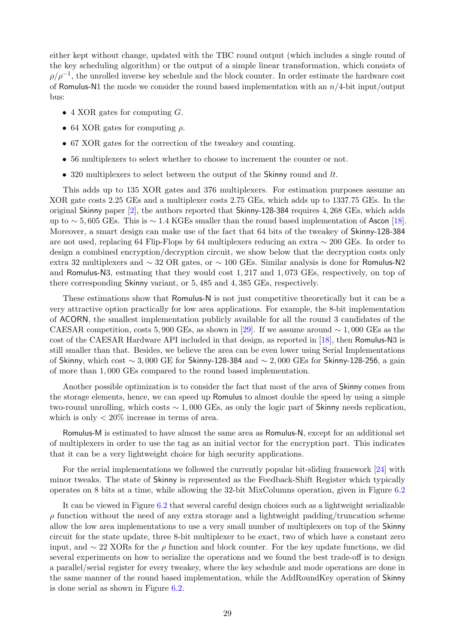either kept without change, updated with the TBC round output (which includes a single round of the key scheduling algorithm) or the output of a simple linear transformation, which consists of  $\rho/\rho^{-1}$ , the unrolled inverse key schedule and the block counter. In order estimate the hardware cost of Romulus-N1 the mode we consider the round based implementation with an  $n/4$ -bit input/output bus:

- 4 XOR gates for computing  $G$ .
- 64 XOR gates for computing  $\rho$ .
- 67 XOR gates for the correction of the tweakey and counting.
- 56 multiplexers to select whether to choose to increment the counter or not.
- 320 multiplexers to select between the output of the Skinny round and  $lt$ .

This adds up to 135 XOR gates and 376 multiplexers. For estimation purposes assume an XOR gate costs 2.25 GEs and a multiplexer costs 2.75 GEs, which adds up to 1337.75 GEs. In the original Skinny paper [\[2\]](#page-37-2), the authors reported that Skinny-128-384 requires 4, 268 GEs, which adds up to  $\sim$  5, 605 GEs. This is  $\sim$  1.4 KGEs smaller than the round based implementation of Ascon [\[18\]](#page-38-13). Moreover, a smart design can make use of the fact that 64 bits of the tweakey of Skinny-128-384 are not used, replacing 64 Flip-Flops by 64 multiplexers reducing an extra ∼ 200 GEs. In order to design a combined encryption/decryption circuit, we show below that the decryption costs only extra 32 multiplexers and ∼ 32 OR gates, or ∼ 100 GEs. Similar analysis is done for Romulus-N2 and Romulus-N3, estmating that they would cost 1, 217 and 1, 073 GEs, respectively, on top of there corresponding Skinny variant, or 5, 485 and 4, 385 GEs, respectively.

These estimations show that Romulus-N is not just competitive theoretically but it can be a very attractive option practically for low area applications. For example, the 8-bit implementation of ACORN, the smallest implementation publicly available for all the round 3 candidates of the CAESAR competition, costs 5, 900 GEs, as shown in [\[29\]](#page-39-8). If we assume around  $\sim 1,000$  GEs as the cost of the CAESAR Hardware API included in that design, as reported in [\[18\]](#page-38-13), then Romulus-N3 is still smaller than that. Besides, we believe the area can be even lower using Serial Implementations of Skinny, which cost  $\sim 3,000$  GE for Skinny-128-384 and  $\sim 2,000$  GEs for Skinny-128-256, a gain of more than 1, 000 GEs compared to the round based implementation.

Another possible optimization is to consider the fact that most of the area of Skinny comes from the storage elements, hence, we can speed up Romulus to almost double the speed by using a simple two-round unrolling, which costs ∼ 1, 000 GEs, as only the logic part of Skinny needs replication, which is only  $\langle 20\%$  increase in terms of area.

Romulus-M is estimated to have almost the same area as Romulus-N, except for an additional set of multiplexers in order to use the tag as an initial vector for the encryption part. This indicates that it can be a very lightweight choice for high security applications.

For the serial implementations we followed the currently popular bit-sliding framework [\[24\]](#page-38-12) with minor tweaks. The state of Skinny is represented as the Feedback-Shift Register which typically operates on 8 bits at a time, while allowing the 32-bit MixColumns operation, given in Figure [6.2](#page-30-1)

It can be viewed in Figure [6.2](#page-30-1) that several careful design choices such as a lightweight serializable  $\rho$  function without the need of any extra storage and a lightweight padding/truncation scheme allow the low area implementations to use a very small number of multiplexers on top of the Skinny circuit for the state update, three 8-bit multiplexer to be exact, two of which have a constant zero input, and  $\sim$  22 XORs for the  $\rho$  function and block counter. For the key update functions, we did several experiments on how to serialize the operations and we found the best trade-off is to design a parallel/serial register for every tweakey, where the key schedule and mode operations are done in the same manner of the round based implementation, while the AddRoundKey operation of Skinny is done serial as shown in Figure [6.2.](#page-30-1)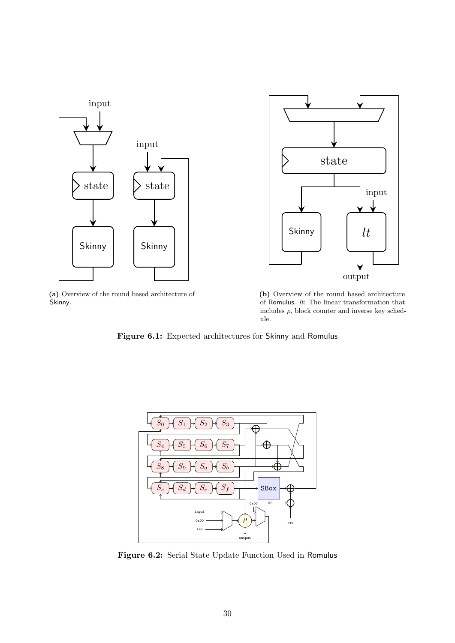<span id="page-30-0"></span>

(a) Overview of the round based architecture of Skinny.



(b) Overview of the round based architecture of Romulus.  $lt:$  The linear transformation that includes  $\rho$ , block counter and inverse key schedule.

Figure 6.1: Expected architectures for Skinny and Romulus

<span id="page-30-1"></span>

Figure 6.2: Serial State Update Function Used in Romulus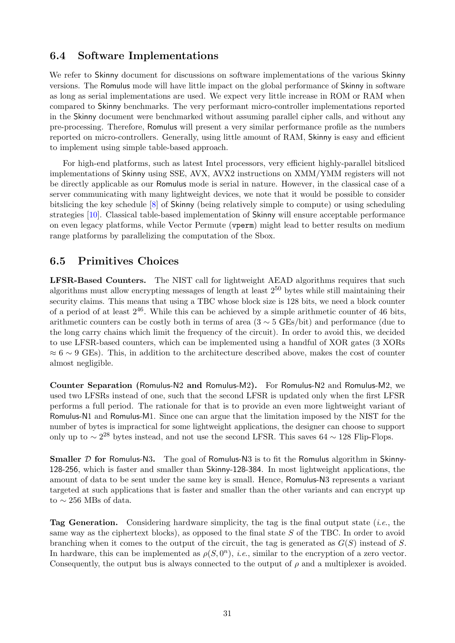### 6.4 Software Implementations

We refer to Skinny document for discussions on software implementations of the various Skinny versions. The Romulus mode will have little impact on the global performance of Skinny in software as long as serial implementations are used. We expect very little increase in ROM or RAM when compared to Skinny benchmarks. The very performant micro-controller implementations reported in the Skinny document were benchmarked without assuming parallel cipher calls, and without any pre-processing. Therefore, Romulus will present a very similar performance profile as the numbers reported on micro-controllers. Generally, using little amount of RAM, Skinny is easy and efficient to implement using simple table-based approach.

For high-end platforms, such as latest Intel processors, very efficient highly-parallel bitsliced implementations of Skinny using SSE, AVX, AVX2 instructions on XMM/YMM registers will not be directly applicable as our Romulus mode is serial in nature. However, in the classical case of a server communicating with many lightweight devices, we note that it would be possible to consider bitslicing the key schedule [\[8\]](#page-37-10) of Skinny (being relatively simple to compute) or using scheduling strategies [\[10\]](#page-37-11). Classical table-based implementation of Skinny will ensure acceptable performance on even legacy platforms, while Vector Permute (vperm) might lead to better results on medium range platforms by parallelizing the computation of the Sbox.

#### 6.5 Primitives Choices

LFSR-Based Counters. The NIST call for lightweight AEAD algorithms requires that such algorithms must allow encrypting messages of length at least  $2^{50}$  bytes while still maintaining their security claims. This means that using a TBC whose block size is 128 bits, we need a block counter of a period of at least  $2^{46}$ . While this can be achieved by a simple arithmetic counter of 46 bits, arithmetic counters can be costly both in terms of area  $(3 \sim 5 \text{ GEs}/\text{bit})$  and performance (due to the long carry chains which limit the frequency of the circuit). In order to avoid this, we decided to use LFSR-based counters, which can be implemented using a handful of XOR gates (3 XORs  $\approx 6 \sim 9$  GEs). This, in addition to the architecture described above, makes the cost of counter almost negligible.

Counter Separation (Romulus-N2 and Romulus-M2). For Romulus-N2 and Romulus-M2, we used two LFSRs instead of one, such that the second LFSR is updated only when the first LFSR performs a full period. The rationale for that is to provide an even more lightweight variant of Romulus-N1 and Romulus-M1. Since one can argue that the limitation imposed by the NIST for the number of bytes is impractical for some lightweight applications, the designer can choose to support only up to  $\sim 2^{28}$  bytes instead, and not use the second LFSR. This saves 64  $\sim 128$  Flip-Flops.

**Smaller D for Romulus-N3.** The goal of Romulus-N3 is to fit the Romulus algorithm in Skinny-128-256, which is faster and smaller than Skinny-128-384. In most lightweight applications, the amount of data to be sent under the same key is small. Hence, Romulus-N3 represents a variant targeted at such applications that is faster and smaller than the other variants and can encrypt up to  $\sim 256$  MBs of data.

**Tag Generation.** Considering hardware simplicity, the tag is the final output state (*i.e.*, the same way as the ciphertext blocks), as opposed to the final state S of the TBC. In order to avoid branching when it comes to the output of the circuit, the tag is generated as  $G(S)$  instead of S. In hardware, this can be implemented as  $\rho(S, 0^n)$ , *i.e.*, similar to the encryption of a zero vector. Consequently, the output bus is always connected to the output of  $\rho$  and a multiplexer is avoided.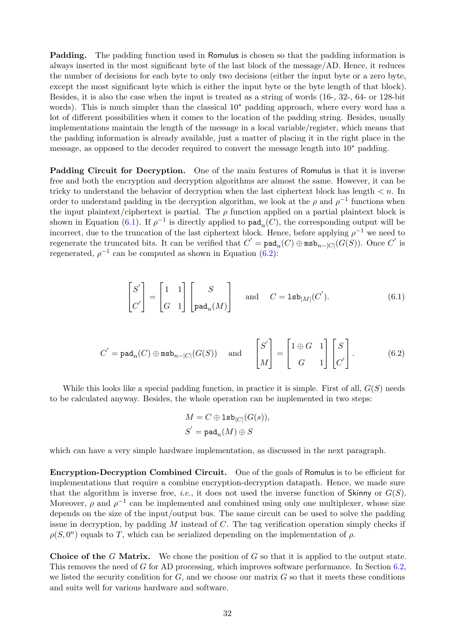Padding. The padding function used in Romulus is chosen so that the padding information is always inserted in the most significant byte of the last block of the message/AD. Hence, it reduces the number of decisions for each byte to only two decisions (either the input byte or a zero byte, except the most significant byte which is either the input byte or the byte length of that block). Besides, it is also the case when the input is treated as a string of words (16-, 32-, 64- or 128-bit words). This is much simpler than the classical 10∗ padding approach, where every word has a lot of different possibilities when it comes to the location of the padding string. Besides, usually implementations maintain the length of the message in a local variable/register, which means that the padding information is already available, just a matter of placing it in the right place in the message, as opposed to the decoder required to convert the message length into 10∗ padding.

Padding Circuit for Decryption. One of the main features of Romulus is that it is inverse free and both the encryption and decryption algorithms are almost the same. However, it can be tricky to understand the behavior of decryption when the last ciphertext block has length  $\lt n$ . In order to understand padding in the decryption algorithm, we look at the  $\rho$  and  $\rho^{-1}$  functions when the input plaintext/ciphertext is partial. The  $\rho$  function applied on a partial plaintext block is shown in Equation [\(6.1\)](#page-32-0). If  $\rho^{-1}$  is directly applied to  $\text{pad}_n(C)$ , the corresponding output will be incorrect, due to the truncation of the last ciphertext block. Hence, before applying  $\rho^{-1}$  we need to regenerate the truncated bits. It can be verified that  $C' = \text{pad}_n(C) \oplus \text{msb}_{n-|C|}(G(S))$ . Once C' is regenerated,  $\rho^{-1}$  can be computed as shown in Equation [\(6.2\)](#page-32-1):

$$
\begin{bmatrix} S' \\ C' \end{bmatrix} = \begin{bmatrix} 1 & 1 \\ G & 1 \end{bmatrix} \begin{bmatrix} S \\ \text{pad}_n(M) \end{bmatrix} \quad \text{and} \quad C = \text{lsb}_{|M|}(C'). \tag{6.1}
$$

$$
C' = \text{pad}_n(C) \oplus \text{msb}_{n-|C|}(G(S)) \quad \text{and} \quad \begin{bmatrix} S' \\ M \end{bmatrix} = \begin{bmatrix} 1 \oplus G & 1 \\ G & 1 \end{bmatrix} \begin{bmatrix} S \\ C' \end{bmatrix}.
$$
 (6.2)

While this looks like a special padding function, in practice it is simple. First of all,  $G(S)$  needs to be calculated anyway. Besides, the whole operation can be implemented in two steps:

<span id="page-32-1"></span><span id="page-32-0"></span>
$$
M = C \oplus \mathsf{lsb}_{|C|}(G(s)),
$$
  

$$
S^{'} = \mathsf{pad}_{n}(M) \oplus S
$$

which can have a very simple hardware implementation, as discussed in the next paragraph.

Encryption-Decryption Combined Circuit. One of the goals of Romulus is to be efficient for implementations that require a combine encryption-decryption datapath. Hence, we made sure that the algorithm is inverse free, *i.e.*, it does not used the inverse function of Skinny or  $G(S)$ . Moreover,  $\rho$  and  $\rho^{-1}$  can be implemented and combined using only one multiplexer, whose size depends on the size of the input/output bus. The same circuit can be used to solve the padding issue in decryption, by padding  $M$  instead of  $C$ . The tag verification operation simply checks if  $\rho(S, 0^n)$  equals to T, which can be serialized depending on the implementation of  $\rho$ .

**Choice of the G Matrix.** We chose the position of G so that it is applied to the output state. This removes the need of G for AD processing, which improves software performance. In Section [6.2,](#page-32-1) we listed the security condition for  $G$ , and we choose our matrix  $G$  so that it meets these conditions and suits well for various hardware and software.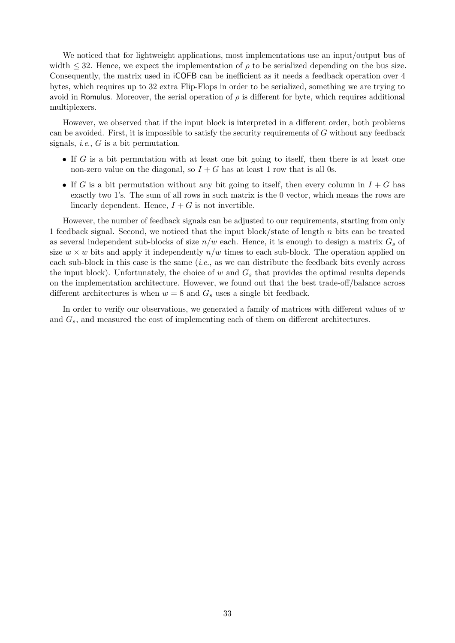We noticed that for lightweight applications, most implementations use an input/output bus of width  $\leq$  32. Hence, we expect the implementation of  $\rho$  to be serialized depending on the bus size. Consequently, the matrix used in iCOFB can be inefficient as it needs a feedback operation over 4 bytes, which requires up to 32 extra Flip-Flops in order to be serialized, something we are trying to avoid in Romulus. Moreover, the serial operation of  $\rho$  is different for byte, which requires additional multiplexers.

However, we observed that if the input block is interpreted in a different order, both problems can be avoided. First, it is impossible to satisfy the security requirements of  $G$  without any feedback signals, *i.e.*,  $G$  is a bit permutation.

- If  $G$  is a bit permutation with at least one bit going to itself, then there is at least one non-zero value on the diagonal, so  $I + G$  has at least 1 row that is all 0s.
- If G is a bit permutation without any bit going to itself, then every column in  $I + G$  has exactly two 1's. The sum of all rows in such matrix is the 0 vector, which means the rows are linearly dependent. Hence,  $I + G$  is not invertible.

However, the number of feedback signals can be adjusted to our requirements, starting from only 1 feedback signal. Second, we noticed that the input block/state of length  $n$  bits can be treated as several independent sub-blocks of size  $n/w$  each. Hence, it is enough to design a matrix  $G_s$  of size  $w \times w$  bits and apply it independently  $n/w$  times to each sub-block. The operation applied on each sub-block in this case is the same  $(i.e.,$  as we can distribute the feedback bits evenly across the input block). Unfortunately, the choice of w and  $G_s$  that provides the optimal results depends on the implementation architecture. However, we found out that the best trade-off/balance across different architectures is when  $w = 8$  and  $G_s$  uses a single bit feedback.

In order to verify our observations, we generated a family of matrices with different values of  $w$ and  $G_s$ , and measured the cost of implementing each of them on different architectures.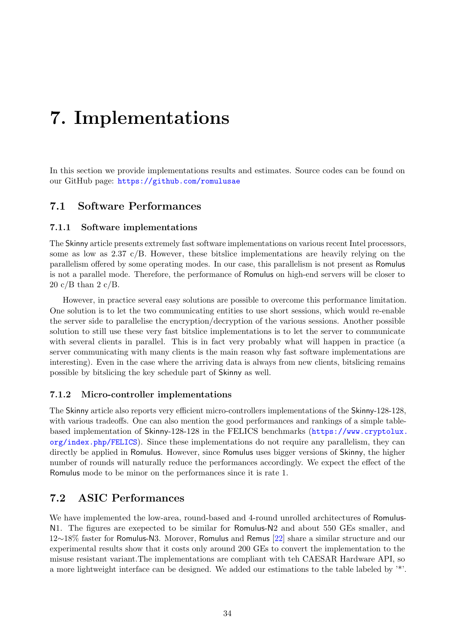# <span id="page-34-0"></span>7. Implementations

In this section we provide implementations results and estimates. Source codes can be found on our GitHub page: <https://github.com/romulusae>

### 7.1 Software Performances

#### 7.1.1 Software implementations

The Skinny article presents extremely fast software implementations on various recent Intel processors, some as low as 2.37 c/B. However, these bitslice implementations are heavily relying on the parallelism offered by some operating modes. In our case, this parallelism is not present as Romulus is not a parallel mode. Therefore, the performance of Romulus on high-end servers will be closer to 20 c/B than 2 c/B.

However, in practice several easy solutions are possible to overcome this performance limitation. One solution is to let the two communicating entities to use short sessions, which would re-enable the server side to parallelise the encryption/decryption of the various sessions. Another possible solution to still use these very fast bitslice implementations is to let the server to communicate with several clients in parallel. This is in fact very probably what will happen in practice (a server communicating with many clients is the main reason why fast software implementations are interesting). Even in the case where the arriving data is always from new clients, bitslicing remains possible by bitslicing the key schedule part of Skinny as well.

#### 7.1.2 Micro-controller implementations

The Skinny article also reports very efficient micro-controllers implementations of the Skinny-128-128, with various tradeoffs. One can also mention the good performances and rankings of a simple tablebased implementation of Skinny-128-128 in the FELICS benchmarks ([https://www.cryptolux.](https://www.cryptolux.org/index.php/FELICS)  $\sigma$ rg/index.php/FELICS). Since these implementations do not require any parallelism, they can directly be applied in Romulus. However, since Romulus uses bigger versions of Skinny, the higher number of rounds will naturally reduce the performances accordingly. We expect the effect of the Romulus mode to be minor on the performances since it is rate 1.

### 7.2 ASIC Performances

We have implemented the low-area, round-based and 4-round unrolled architectures of Romulus-N1. The figures are exepected to be similar for Romulus-N2 and about 550 GEs smaller, and 12∼18% faster for Romulus-N3. Morover, Romulus and Remus [\[22\]](#page-38-14) share a similar structure and our experimental results show that it costs only around 200 GEs to convert the implementation to the misuse resistant variant.The implementations are compliant with teh CAESAR Hardware API, so a more lightweight interface can be designed. We added our estimations to the table labeled by '\*'.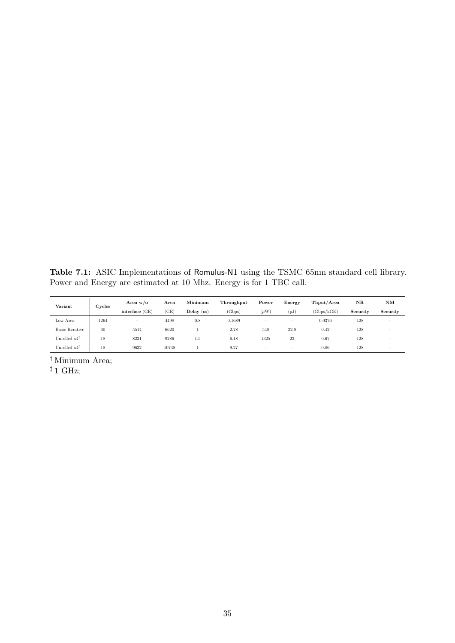<span id="page-35-0"></span>Table 7.1: ASIC Implementations of Romulus-N1 using the TSMC 65nm standard cell library. Power and Energy are estimated at 10 Mhz. Energy is for 1 TBC call.

| Variant                  | Cycles         | Area $w/o$ | Area  | Minimum      | Throughput | Power     | Energy | Thput/Area | NR       | NM                       |
|--------------------------|----------------|------------|-------|--------------|------------|-----------|--------|------------|----------|--------------------------|
|                          | interface (GE) |            | (GE)  | Delay $(ns)$ | (Gbps)     | $(\mu W)$ | (pJ    | (Gbps/kGE) | Security | Security                 |
| Low Area                 | 1264           | <u>.</u>   | 4498  | 0.8          | 0.1689     | $\sim$    | -      | 0.0376     | 128      | $\overline{\phantom{a}}$ |
| <b>Basic Iterative</b>   | 60             | 5514       | 6620  |              | 2.78       | 548       | 32.8   | 0.42       | 128      | $\overline{\phantom{a}}$ |
| Unrolled $x4^{\dagger}$  | 18             | 8231       | 9286  | $1.5\,$      | 6.18       | 1325      | 23     | 0.67       | 128      | $\overline{\phantom{a}}$ |
| Unrolled $x4^{\ddagger}$ | 18             | 9632       | 10748 |              | 9.27       | $\sim$    | $\sim$ | 0.86       | 128      | $\overline{\phantom{a}}$ |

† Minimum Area;

 $^\ddag$  1 GHz;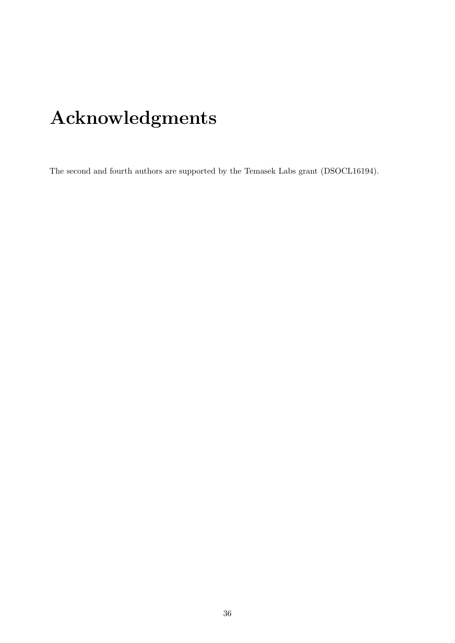# Acknowledgments

The second and fourth authors are supported by the Temasek Labs grant (DSOCL16194).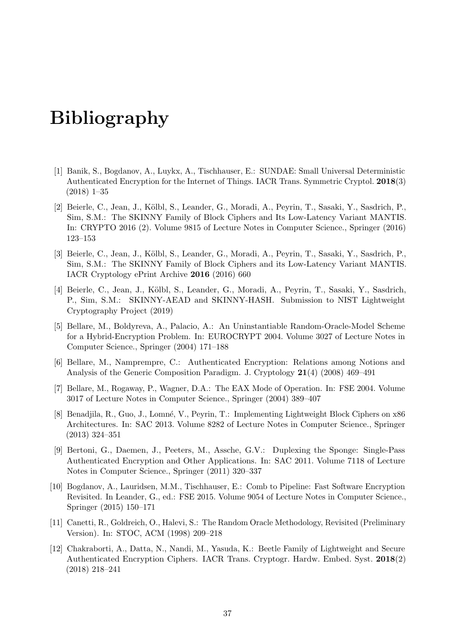# Bibliography

- <span id="page-37-9"></span>[1] Banik, S., Bogdanov, A., Luykx, A., Tischhauser, E.: SUNDAE: Small Universal Deterministic Authenticated Encryption for the Internet of Things. IACR Trans. Symmetric Cryptol. 2018(3) (2018) 1–35
- <span id="page-37-2"></span>[2] Beierle, C., Jean, J., K¨olbl, S., Leander, G., Moradi, A., Peyrin, T., Sasaki, Y., Sasdrich, P., Sim, S.M.: The SKINNY Family of Block Ciphers and Its Low-Latency Variant MANTIS. In: CRYPTO 2016 (2). Volume 9815 of Lecture Notes in Computer Science., Springer (2016) 123–153
- <span id="page-37-6"></span>[3] Beierle, C., Jean, J., K¨olbl, S., Leander, G., Moradi, A., Peyrin, T., Sasaki, Y., Sasdrich, P., Sim, S.M.: The SKINNY Family of Block Ciphers and its Low-Latency Variant MANTIS. IACR Cryptology ePrint Archive 2016 (2016) 660
- <span id="page-37-3"></span>[4] Beierle, C., Jean, J., Kölbl, S., Leander, G., Moradi, A., Peyrin, T., Sasaki, Y., Sasdrich, P., Sim, S.M.: SKINNY-AEAD and SKINNY-HASH. Submission to NIST Lightweight Cryptography Project (2019)
- <span id="page-37-0"></span>[5] Bellare, M., Boldyreva, A., Palacio, A.: An Uninstantiable Random-Oracle-Model Scheme for a Hybrid-Encryption Problem. In: EUROCRYPT 2004. Volume 3027 of Lecture Notes in Computer Science., Springer (2004) 171–188
- <span id="page-37-4"></span>[6] Bellare, M., Namprempre, C.: Authenticated Encryption: Relations among Notions and Analysis of the Generic Composition Paradigm. J. Cryptology 21(4) (2008) 469–491
- <span id="page-37-5"></span>[7] Bellare, M., Rogaway, P., Wagner, D.A.: The EAX Mode of Operation. In: FSE 2004. Volume 3017 of Lecture Notes in Computer Science., Springer (2004) 389–407
- <span id="page-37-10"></span>[8] Benadjila, R., Guo, J., Lomné, V., Peyrin, T.: Implementing Lightweight Block Ciphers on x86 Architectures. In: SAC 2013. Volume 8282 of Lecture Notes in Computer Science., Springer (2013) 324–351
- <span id="page-37-8"></span>[9] Bertoni, G., Daemen, J., Peeters, M., Assche, G.V.: Duplexing the Sponge: Single-Pass Authenticated Encryption and Other Applications. In: SAC 2011. Volume 7118 of Lecture Notes in Computer Science., Springer (2011) 320–337
- <span id="page-37-11"></span>[10] Bogdanov, A., Lauridsen, M.M., Tischhauser, E.: Comb to Pipeline: Fast Software Encryption Revisited. In Leander, G., ed.: FSE 2015. Volume 9054 of Lecture Notes in Computer Science., Springer (2015) 150–171
- <span id="page-37-1"></span>[11] Canetti, R., Goldreich, O., Halevi, S.: The Random Oracle Methodology, Revisited (Preliminary Version). In: STOC, ACM (1998) 209–218
- <span id="page-37-7"></span>[12] Chakraborti, A., Datta, N., Nandi, M., Yasuda, K.: Beetle Family of Lightweight and Secure Authenticated Encryption Ciphers. IACR Trans. Cryptogr. Hardw. Embed. Syst. 2018(2) (2018) 218–241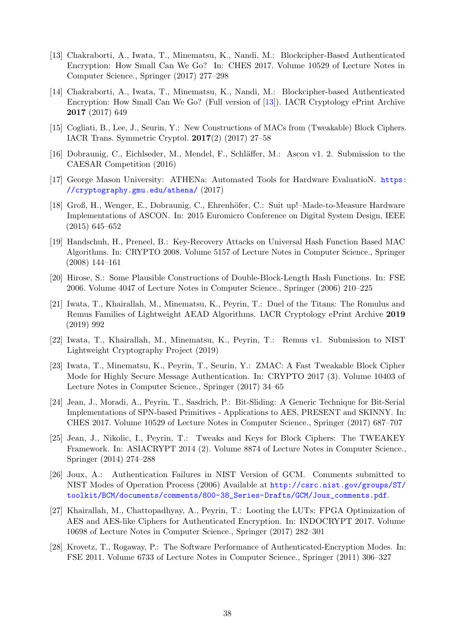- <span id="page-38-1"></span>[13] Chakraborti, A., Iwata, T., Minematsu, K., Nandi, M.: Blockcipher-Based Authenticated Encryption: How Small Can We Go? In: CHES 2017. Volume 10529 of Lecture Notes in Computer Science., Springer (2017) 277–298
- <span id="page-38-2"></span>[14] Chakraborti, A., Iwata, T., Minematsu, K., Nandi, M.: Blockcipher-based Authenticated Encryption: How Small Can We Go? (Full version of [\[13\]](#page-38-1)). IACR Cryptology ePrint Archive 2017 (2017) 649
- <span id="page-38-15"></span>[15] Cogliati, B., Lee, J., Seurin, Y.: New Constructions of MACs from (Tweakable) Block Ciphers. IACR Trans. Symmetric Cryptol. 2017(2) (2017) 27–58
- <span id="page-38-11"></span>[16] Dobraunig, C., Eichlseder, M., Mendel, F., Schläffer, M.: Ascon v1. 2. Submission to the CAESAR Competition (2016)
- <span id="page-38-8"></span>[17] George Mason University: ATHENa: Automated Tools for Hardware EvaluatioN. [https:](https://cryptography.gmu.edu/athena/) [//cryptography.gmu.edu/athena/](https://cryptography.gmu.edu/athena/) (2017)
- <span id="page-38-13"></span>[18] Groß, H., Wenger, E., Dobraunig, C., Ehrenhöfer, C.: Suit up!–Made-to-Measure Hardware Implementations of ASCON. In: 2015 Euromicro Conference on Digital System Design, IEEE (2015) 645–652
- <span id="page-38-6"></span>[19] Handschuh, H., Preneel, B.: Key-Recovery Attacks on Universal Hash Function Based MAC Algorithms. In: CRYPTO 2008. Volume 5157 of Lecture Notes in Computer Science., Springer (2008) 144–161
- <span id="page-38-4"></span>[20] Hirose, S.: Some Plausible Constructions of Double-Block-Length Hash Functions. In: FSE 2006. Volume 4047 of Lecture Notes in Computer Science., Springer (2006) 210–225
- <span id="page-38-5"></span>[21] Iwata, T., Khairallah, M., Minematsu, K., Peyrin, T.: Duel of the Titans: The Romulus and Remus Families of Lightweight AEAD Algorithms. IACR Cryptology ePrint Archive 2019 (2019) 992
- <span id="page-38-14"></span>[22] Iwata, T., Khairallah, M., Minematsu, K., Peyrin, T.: Remus v1. Submission to NIST Lightweight Cryptography Project (2019)
- <span id="page-38-10"></span>[23] Iwata, T., Minematsu, K., Peyrin, T., Seurin, Y.: ZMAC: A Fast Tweakable Block Cipher Mode for Highly Secure Message Authentication. In: CRYPTO 2017 (3). Volume 10403 of Lecture Notes in Computer Science., Springer (2017) 34–65
- <span id="page-38-12"></span>[24] Jean, J., Moradi, A., Peyrin, T., Sasdrich, P.: Bit-Sliding: A Generic Technique for Bit-Serial Implementations of SPN-based Primitives - Applications to AES, PRESENT and SKINNY. In: CHES 2017. Volume 10529 of Lecture Notes in Computer Science., Springer (2017) 687–707
- <span id="page-38-3"></span>[25] Jean, J., Nikolic, I., Peyrin, T.: Tweaks and Keys for Block Ciphers: The TWEAKEY Framework. In: ASIACRYPT 2014 (2). Volume 8874 of Lecture Notes in Computer Science., Springer (2014) 274–288
- <span id="page-38-7"></span>[26] Joux, A.: Authentication Failures in NIST Version of GCM. Comments submitted to NIST Modes of Operation Process (2006) Available at [http://csrc.nist.gov/groups/ST/](http://csrc.nist.gov/groups/ST/toolkit/BCM/documents/comments/800-38_Series-Drafts/GCM/Joux_comments.pdf) [toolkit/BCM/documents/comments/800-38\\_Series-Drafts/GCM/Joux\\_comments.pdf](http://csrc.nist.gov/groups/ST/toolkit/BCM/documents/comments/800-38_Series-Drafts/GCM/Joux_comments.pdf).
- <span id="page-38-9"></span>[27] Khairallah, M., Chattopadhyay, A., Peyrin, T.: Looting the LUTs: FPGA Optimization of AES and AES-like Ciphers for Authenticated Encryption. In: INDOCRYPT 2017. Volume 10698 of Lecture Notes in Computer Science., Springer (2017) 282–301
- <span id="page-38-0"></span>[28] Krovetz, T., Rogaway, P.: The Software Performance of Authenticated-Encryption Modes. In: FSE 2011. Volume 6733 of Lecture Notes in Computer Science., Springer (2011) 306–327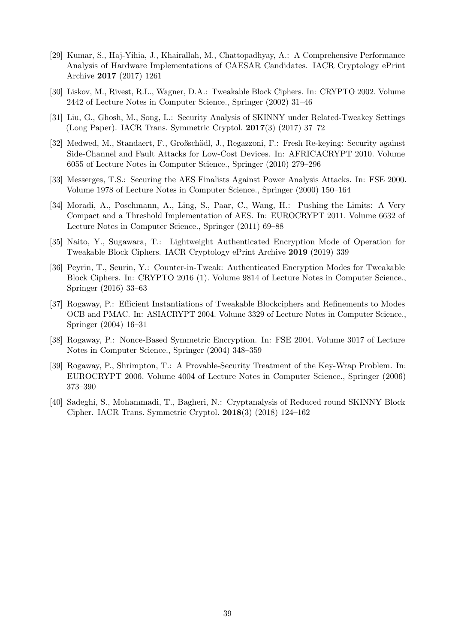- <span id="page-39-8"></span>[29] Kumar, S., Haj-Yihia, J., Khairallah, M., Chattopadhyay, A.: A Comprehensive Performance Analysis of Hardware Implementations of CAESAR Candidates. IACR Cryptology ePrint Archive 2017 (2017) 1261
- <span id="page-39-0"></span>[30] Liskov, M., Rivest, R.L., Wagner, D.A.: Tweakable Block Ciphers. In: CRYPTO 2002. Volume 2442 of Lecture Notes in Computer Science., Springer (2002) 31–46
- <span id="page-39-6"></span>[31] Liu, G., Ghosh, M., Song, L.: Security Analysis of SKINNY under Related-Tweakey Settings (Long Paper). IACR Trans. Symmetric Cryptol. 2017(3) (2017) 37–72
- <span id="page-39-9"></span>[32] Medwed, M., Standaert, F., Großsch¨adl, J., Regazzoni, F.: Fresh Re-keying: Security against Side-Channel and Fault Attacks for Low-Cost Devices. In: AFRICACRYPT 2010. Volume 6055 of Lecture Notes in Computer Science., Springer (2010) 279–296
- <span id="page-39-10"></span>[33] Messerges, T.S.: Securing the AES Finalists Against Power Analysis Attacks. In: FSE 2000. Volume 1978 of Lecture Notes in Computer Science., Springer (2000) 150–164
- <span id="page-39-3"></span>[34] Moradi, A., Poschmann, A., Ling, S., Paar, C., Wang, H.: Pushing the Limits: A Very Compact and a Threshold Implementation of AES. In: EUROCRYPT 2011. Volume 6632 of Lecture Notes in Computer Science., Springer (2011) 69–88
- <span id="page-39-11"></span>[35] Naito, Y., Sugawara, T.: Lightweight Authenticated Encryption Mode of Operation for Tweakable Block Ciphers. IACR Cryptology ePrint Archive 2019 (2019) 339
- <span id="page-39-1"></span>[36] Peyrin, T., Seurin, Y.: Counter-in-Tweak: Authenticated Encryption Modes for Tweakable Block Ciphers. In: CRYPTO 2016 (1). Volume 9814 of Lecture Notes in Computer Science., Springer (2016) 33–63
- <span id="page-39-4"></span>[37] Rogaway, P.: Efficient Instantiations of Tweakable Blockciphers and Refinements to Modes OCB and PMAC. In: ASIACRYPT 2004. Volume 3329 of Lecture Notes in Computer Science., Springer (2004) 16–31
- <span id="page-39-5"></span>[38] Rogaway, P.: Nonce-Based Symmetric Encryption. In: FSE 2004. Volume 3017 of Lecture Notes in Computer Science., Springer (2004) 348–359
- <span id="page-39-2"></span>[39] Rogaway, P., Shrimpton, T.: A Provable-Security Treatment of the Key-Wrap Problem. In: EUROCRYPT 2006. Volume 4004 of Lecture Notes in Computer Science., Springer (2006) 373–390
- <span id="page-39-7"></span>[40] Sadeghi, S., Mohammadi, T., Bagheri, N.: Cryptanalysis of Reduced round SKINNY Block Cipher. IACR Trans. Symmetric Cryptol. 2018(3) (2018) 124–162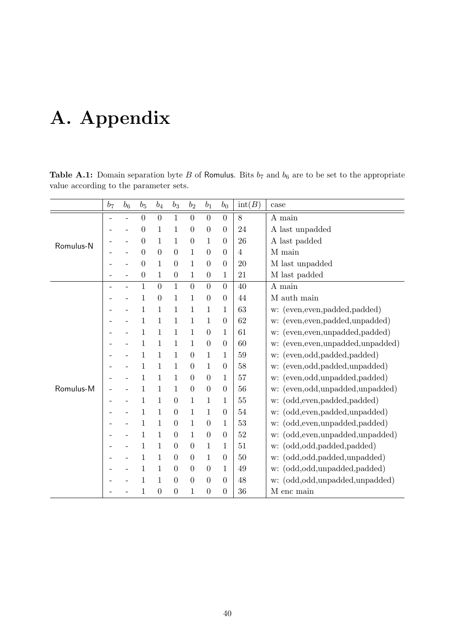# A. Appendix

|           | b <sub>7</sub> | $b_6$ | $b_5$          | $b_4$            | $b_3$            | b <sub>2</sub>   | b <sub>1</sub>   | $b_0$            | $\mathrm{int}(B)$ | case                                   |
|-----------|----------------|-------|----------------|------------------|------------------|------------------|------------------|------------------|-------------------|----------------------------------------|
|           |                |       | $\overline{0}$ | $\overline{0}$   | $\mathbf{1}$     | $\overline{0}$   | $\theta$         | $\overline{0}$   | 8                 | A main                                 |
|           |                |       | 0              | 1                | 1                | $\boldsymbol{0}$ | $\theta$         | 0                | 24                | A last unpadded                        |
| Romulus-N |                |       | $\theta$       | 1                | 1                | $\overline{0}$   | 1                | $\overline{0}$   | 26                | A last padded                          |
|           |                |       | 0              | $\boldsymbol{0}$ | $\boldsymbol{0}$ | 1                | $\theta$         | 0                | $\overline{4}$    | M main                                 |
|           |                |       | 0              | 1                | $\theta$         | 1                | $\theta$         | $\theta$         | 20                | M last unpadded                        |
|           |                |       | $\overline{0}$ | 1                | $\boldsymbol{0}$ | 1                | $\boldsymbol{0}$ | $\mathbf{1}$     | 21                | M last padded                          |
|           |                |       | 1              | $\overline{0}$   | $\mathbf{1}$     | $\boldsymbol{0}$ | $\overline{0}$   | $\boldsymbol{0}$ | 40                | A main                                 |
|           |                |       | 1              | 0                | 1                | 1                | $\theta$         | $\overline{0}$   | 44                | M auth main                            |
|           |                |       | 1              | 1                | 1                | 1                | 1                | 1                | 63                | (even, even, padded, padded)<br>w:     |
|           |                |       | 1              | 1                | $\mathbf{1}$     | 1                | 1                | $\overline{0}$   | 62                | (even, even, padded, unpadded)<br>w:   |
|           |                |       | 1              | 1                | 1                | 1                | $\theta$         | $\mathbf{1}$     | 61                | (even, even, unpadded, padded)<br>w:   |
|           |                |       | 1              | 1                | 1                | 1                | $\theta$         | $\theta$         | 60                | (even, even, unpadded, unpadded)<br>w: |
|           |                |       |                |                  | $\mathbf{1}$     | $\boldsymbol{0}$ | 1                | $\mathbf{1}$     | 59                | (even,odd,padded,padded)<br>w:         |
|           |                |       | 1              | 1                | 1                | $\theta$         | 1                | $\overline{0}$   | 58                | (even,odd,padded,unpadded)<br>w:       |
|           |                |       | 1              | 1                | $\mathbf{1}$     | $\overline{0}$   | $\theta$         | $\mathbf{1}$     | 57                | (even,odd,unpadded,padded)<br>w:       |
| Romulus-M |                |       |                | 1                | $\mathbf{1}$     | $\boldsymbol{0}$ | $\theta$         | $\boldsymbol{0}$ | 56                | (even,odd,unpadded,unpadded)<br>w:     |
|           |                |       | 1              | 1                | $\overline{0}$   | 1                | 1                | 1                | 55                | (odd, even, padded, padded)<br>w:      |
|           |                |       | 1              | 1                | $\theta$         | 1                | 1                | 0                | 54                | (odd, even, padded, unpadded)<br>w:    |
|           |                |       | 1              | 1                | $\boldsymbol{0}$ | 1                | $\theta$         | 1                | 53                | (odd, even, unpadded, padded)<br>w:    |
|           |                |       | 1              | 1                | $\boldsymbol{0}$ | 1                | $\theta$         | $\boldsymbol{0}$ | 52                | (odd, even, unpadded, unpadded)<br>w:  |
|           |                |       | 1              | 1                | $\theta$         | $\theta$         | 1                | 1                | 51                | (odd,odd,padded,padded)<br>w:          |
|           |                |       | 1              | 1                | $\boldsymbol{0}$ | $\boldsymbol{0}$ | 1                | $\boldsymbol{0}$ | 50                | (odd,odd,padded,unpadded)<br>w:        |
|           |                |       | 1              | 1                | $\theta$         | $\overline{0}$   | $\theta$         | 1                | 49                | (odd,odd,unpadded,padded)<br>w:        |
|           |                |       | 1              | 1                | $\overline{0}$   | $\theta$         | $\theta$         | $\overline{0}$   | 48                | (odd,odd,unpadded,unpadded)<br>w:      |
|           |                |       | 1              | $\boldsymbol{0}$ | $\boldsymbol{0}$ | 1                | $\theta$         | $\boldsymbol{0}$ | 36                | M enc main                             |

Table A.1: Domain separation byte B of Romulus. Bits  $b_7$  and  $b_6$  are to be set to the appropriate value according to the parameter sets.